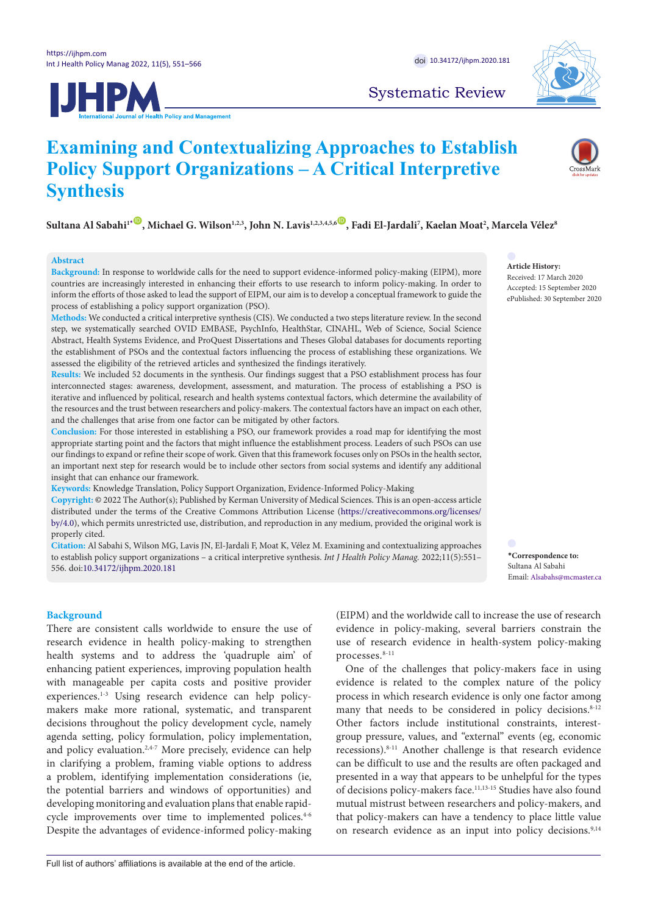



Systematic Review

# **Examining and Contextualizing Approaches to Establish Policy Support Organizations – A Critical Interpretive Synthesis**

 $S$ ultana Al Sabahi<sup>1</sup> [\\*](#page-0-0) $^{\circ}$ , Michael G. Wilson<sup>1,2,3</sup>, John N. Lavis<sup>1,2,3,4,5,6 $^{\circ}$ , Fadi El-Jardali<sup>7</sup>, Kaelan Moat<sup>2</sup>, Marcela Vélez $^{\circ}$ </sup>

# **Abstract**

**Background:** In response to worldwide calls for the need to support evidence-informed policy-making (EIPM), more countries are increasingly interested in enhancing their efforts to use research to inform policy-making. In order to inform the efforts of those asked to lead the support of EIPM, our aim is to develop a conceptual framework to guide the process of establishing a policy support organization (PSO).

**Methods:** We conducted a critical interpretive synthesis (CIS). We conducted a two steps literature review. In the second step, we systematically searched OVID EMBASE, PsychInfo, HealthStar, CINAHL, Web of Science, Social Science Abstract, Health Systems Evidence, and ProQuest Dissertations and Theses Global databases for documents reporting the establishment of PSOs and the contextual factors influencing the process of establishing these organizations. We assessed the eligibility of the retrieved articles and synthesized the findings iteratively.

**Results:** We included 52 documents in the synthesis. Our findings suggest that a PSO establishment process has four interconnected stages: awareness, development, assessment, and maturation. The process of establishing a PSO is iterative and influenced by political, research and health systems contextual factors, which determine the availability of the resources and the trust between researchers and policy-makers. The contextual factors have an impact on each other, and the challenges that arise from one factor can be mitigated by other factors.

**Conclusion:** For those interested in establishing a PSO, our framework provides a road map for identifying the most appropriate starting point and the factors that might influence the establishment process. Leaders of such PSOs can use our findings to expand or refine their scope of work. Given that this framework focuses only on PSOs in the health sector, an important next step for research would be to include other sectors from social systems and identify any additional insight that can enhance our framework.

**Keywords:** Knowledge Translation, Policy Support Organization, Evidence-Informed Policy-Making

**Copyright:** © 2022 The Author(s); Published by Kerman University of Medical Sciences. This is an open-access article distributed under the terms of the Creative Commons Attribution License ([https://creativecommons.org/licenses/](https://creativecommons.org/licenses/by/4.0) [by/4.0](https://creativecommons.org/licenses/by/4.0)), which permits unrestricted use, distribution, and reproduction in any medium, provided the original work is properly cited.

**Citation:** Al Sabahi S, Wilson MG, Lavis JN, El-Jardali F, Moat K, Vélez M. Examining and contextualizing approaches to establish policy support organizations – a critical interpretive synthesis. *Int J Health Policy Manag.* 2022;11(5):551– 556. doi[:10.34172/ijhpm.2020.181](https://doi.org/10.34172/ijhpm.2020.181)

**Article History:**

Received: 17 March 2020 Accepted: 15 September 2020 ePublished: 30 September 2020

<span id="page-0-0"></span>**\*Correspondence to:** Sultana Al Sabahi Email: Alsabahs@mcmaster.ca

# **Background**

There are consistent calls worldwide to ensure the use of research evidence in health policy-making to strengthen health systems and to address the 'quadruple aim' of enhancing patient experiences, improving population health with manageable per capita costs and positive provider experiences.1-3 Using research evidence can help policymakers make more rational, systematic, and transparent decisions throughout the policy development cycle, namely agenda setting, policy formulation, policy implementation, and policy evaluation.<sup>2,4-7</sup> More precisely, evidence can help in clarifying a problem, framing viable options to address a problem, identifying implementation considerations (ie, the potential barriers and windows of opportunities) and developing monitoring and evaluation plans that enable rapidcycle improvements over time to implemented polices.<sup>4-6</sup> Despite the advantages of evidence-informed policy-making

(EIPM) and the worldwide call to increase the use of research evidence in policy-making, several barriers constrain the use of research evidence in health-system policy-making processes.8-11

One of the challenges that policy-makers face in using evidence is related to the complex nature of the policy process in which research evidence is only one factor among many that needs to be considered in policy decisions. $8-12$ Other factors include institutional constraints, interestgroup pressure, values, and "external" events (eg, economic recessions).8-11 Another challenge is that research evidence can be difficult to use and the results are often packaged and presented in a way that appears to be unhelpful for the types of decisions policy-makers face.11,13-15 Studies have also found mutual mistrust between researchers and policy-makers, and that policy-makers can have a tendency to place little value on research evidence as an input into policy decisions.<sup>9,14</sup>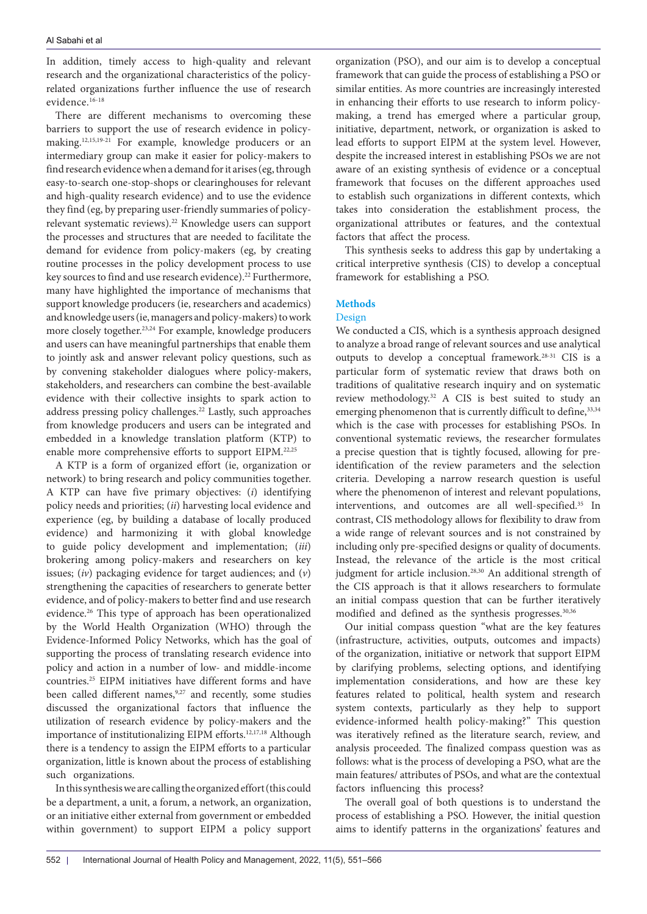In addition, timely access to high-quality and relevant research and the organizational characteristics of the policyrelated organizations further influence the use of research evidence.<sup>16-18</sup>

There are different mechanisms to overcoming these barriers to support the use of research evidence in policymaking.12,15,19-21 For example, knowledge producers or an intermediary group can make it easier for policy-makers to find research evidence when a demand for it arises (eg, through easy-to-search one-stop-shops or clearinghouses for relevant and high-quality research evidence) and to use the evidence they find (eg, by preparing user-friendly summaries of policyrelevant systematic reviews).22 Knowledge users can support the processes and structures that are needed to facilitate the demand for evidence from policy-makers (eg, by creating routine processes in the policy development process to use key sources to find and use research evidence).<sup>22</sup> Furthermore, many have highlighted the importance of mechanisms that support knowledge producers (ie, researchers and academics) and knowledge users (ie, managers and policy-makers) to work more closely together.23,24 For example, knowledge producers and users can have meaningful partnerships that enable them to jointly ask and answer relevant policy questions, such as by convening stakeholder dialogues where policy-makers, stakeholders, and researchers can combine the best-available evidence with their collective insights to spark action to address pressing policy challenges.22 Lastly, such approaches from knowledge producers and users can be integrated and embedded in a knowledge translation platform (KTP) to enable more comprehensive efforts to support EIPM.22,25

A KTP is a form of organized effort (ie, organization or network) to bring research and policy communities together. A KTP can have five primary objectives: (*i*) identifying policy needs and priorities; (*ii*) harvesting local evidence and experience (eg, by building a database of locally produced evidence) and harmonizing it with global knowledge to guide policy development and implementation; (*iii*) brokering among policy-makers and researchers on key issues; (*iv*) packaging evidence for target audiences; and (*v*) strengthening the capacities of researchers to generate better evidence, and of policy-makers to better find and use research evidence.26 This type of approach has been operationalized by the World Health Organization (WHO) through the Evidence-Informed Policy Networks, which has the goal of supporting the process of translating research evidence into policy and action in a number of low- and middle-income countries.25 EIPM initiatives have different forms and have been called different names,<sup>9,27</sup> and recently, some studies discussed the organizational factors that influence the utilization of research evidence by policy-makers and the importance of institutionalizing EIPM efforts.12,17,18 Although there is a tendency to assign the EIPM efforts to a particular organization, little is known about the process of establishing such organizations.

In this synthesis we are calling the organized effort (this could be a department, a unit, a forum, a network, an organization, or an initiative either external from government or embedded within government) to support EIPM a policy support

organization (PSO), and our aim is to develop a conceptual framework that can guide the process of establishing a PSO or similar entities. As more countries are increasingly interested in enhancing their efforts to use research to inform policymaking, a trend has emerged where a particular group, initiative, department, network, or organization is asked to lead efforts to support EIPM at the system level. However, despite the increased interest in establishing PSOs we are not aware of an existing synthesis of evidence or a conceptual framework that focuses on the different approaches used to establish such organizations in different contexts, which takes into consideration the establishment process, the organizational attributes or features, and the contextual factors that affect the process.

This synthesis seeks to address this gap by undertaking a critical interpretive synthesis (CIS) to develop a conceptual framework for establishing a PSO.

# **Methods**

## Design

We conducted a CIS, which is a synthesis approach designed to analyze a broad range of relevant sources and use analytical outputs to develop a conceptual framework.28-31 CIS is a particular form of systematic review that draws both on traditions of qualitative research inquiry and on systematic review methodology.32 A CIS is best suited to study an emerging phenomenon that is currently difficult to define, 33,34 which is the case with processes for establishing PSOs. In conventional systematic reviews, the researcher formulates a precise question that is tightly focused, allowing for preidentification of the review parameters and the selection criteria. Developing a narrow research question is useful where the phenomenon of interest and relevant populations, interventions, and outcomes are all well-specified.35 In contrast, CIS methodology allows for flexibility to draw from a wide range of relevant sources and is not constrained by including only pre-specified designs or quality of documents. Instead, the relevance of the article is the most critical judgment for article inclusion.28,30 An additional strength of the CIS approach is that it allows researchers to formulate an initial compass question that can be further iteratively modified and defined as the synthesis progresses.<sup>30,36</sup>

Our initial compass question "what are the key features (infrastructure, activities, outputs, outcomes and impacts) of the organization, initiative or network that support EIPM by clarifying problems, selecting options, and identifying implementation considerations, and how are these key features related to political, health system and research system contexts, particularly as they help to support evidence-informed health policy-making?" This question was iteratively refined as the literature search, review, and analysis proceeded. The finalized compass question was as follows: what is the process of developing a PSO, what are the main features/ attributes of PSOs, and what are the contextual factors influencing this process?

The overall goal of both questions is to understand the process of establishing a PSO. However, the initial question aims to identify patterns in the organizations' features and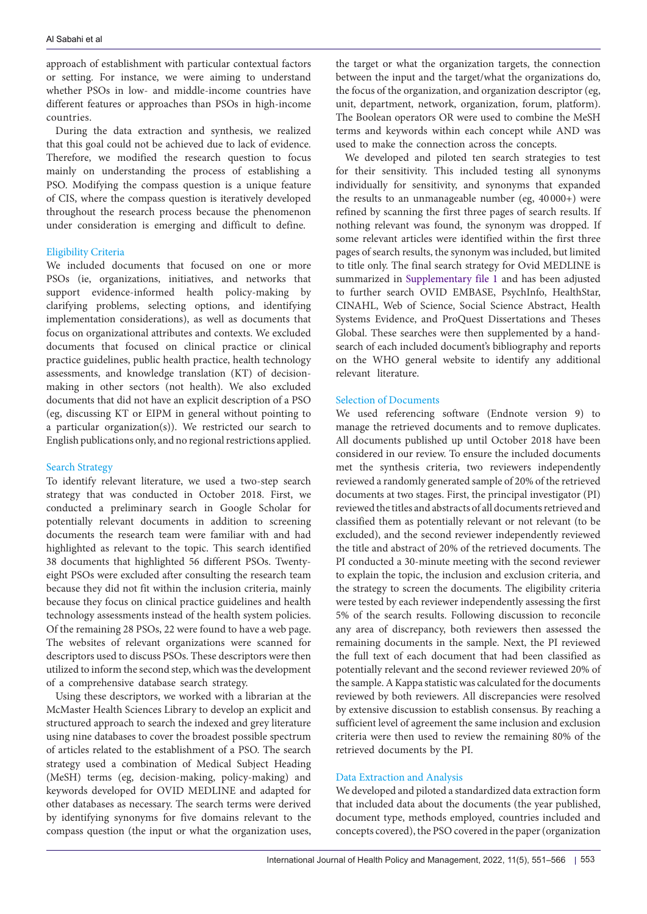approach of establishment with particular contextual factors or setting. For instance, we were aiming to understand whether PSOs in low- and middle-income countries have different features or approaches than PSOs in high-income countries.

During the data extraction and synthesis, we realized that this goal could not be achieved due to lack of evidence. Therefore, we modified the research question to focus mainly on understanding the process of establishing a PSO. Modifying the compass question is a unique feature of CIS, where the compass question is iteratively developed throughout the research process because the phenomenon under consideration is emerging and difficult to define.

# Eligibility Criteria

We included documents that focused on one or more PSOs (ie, organizations, initiatives, and networks that support evidence-informed health policy-making by clarifying problems, selecting options, and identifying implementation considerations), as well as documents that focus on organizational attributes and contexts. We excluded documents that focused on clinical practice or clinical practice guidelines, public health practice, health technology assessments, and knowledge translation (KT) of decisionmaking in other sectors (not health). We also excluded documents that did not have an explicit description of a PSO (eg, discussing KT or EIPM in general without pointing to a particular organization(s)). We restricted our search to English publications only, and no regional restrictions applied.

# Search Strategy

To identify relevant literature, we used a two-step search strategy that was conducted in October 2018. First, we conducted a preliminary search in Google Scholar for potentially relevant documents in addition to screening documents the research team were familiar with and had highlighted as relevant to the topic. This search identified 38 documents that highlighted 56 different PSOs. Twentyeight PSOs were excluded after consulting the research team because they did not fit within the inclusion criteria, mainly because they focus on clinical practice guidelines and health technology assessments instead of the health system policies. Of the remaining 28 PSOs, 22 were found to have a web page. The websites of relevant organizations were scanned for descriptors used to discuss PSOs. These descriptors were then utilized to inform the second step, which was the development of a comprehensive database search strategy.

Using these descriptors, we worked with a librarian at the McMaster Health Sciences Library to develop an explicit and structured approach to search the indexed and grey literature using nine databases to cover the broadest possible spectrum of articles related to the establishment of a PSO. The search strategy used a combination of Medical Subject Heading (MeSH) terms (eg, decision-making, policy-making) and keywords developed for OVID MEDLINE and adapted for other databases as necessary. The search terms were derived by identifying synonyms for five domains relevant to the compass question (the input or what the organization uses,

the target or what the organization targets, the connection between the input and the target/what the organizations do, the focus of the organization, and organization descriptor (eg, unit, department, network, organization, forum, platform). The Boolean operators OR were used to combine the MeSH terms and keywords within each concept while AND was used to make the connection across the concepts.

We developed and piloted ten search strategies to test for their sensitivity. This included testing all synonyms individually for sensitivity, and synonyms that expanded the results to an unmanageable number (eg, 40 000+) were refined by scanning the first three pages of search results. If nothing relevant was found, the synonym was dropped. If some relevant articles were identified within the first three pages of search results, the synonym was included, but limited to title only. The final search strategy for Ovid MEDLINE is summarized in [Supplementary file 1](#page-13-0) and has been adjusted to further search OVID EMBASE, PsychInfo, HealthStar, CINAHL, Web of Science, Social Science Abstract, Health Systems Evidence, and ProQuest Dissertations and Theses Global. These searches were then supplemented by a handsearch of each included document's bibliography and reports on the WHO general website to identify any additional relevant literature.

# Selection of Documents

We used referencing software (Endnote version 9) to manage the retrieved documents and to remove duplicates. All documents published up until October 2018 have been considered in our review. To ensure the included documents met the synthesis criteria, two reviewers independently reviewed a randomly generated sample of 20% of the retrieved documents at two stages. First, the principal investigator (PI) reviewed the titles and abstracts of all documents retrieved and classified them as potentially relevant or not relevant (to be excluded), and the second reviewer independently reviewed the title and abstract of 20% of the retrieved documents. The PI conducted a 30-minute meeting with the second reviewer to explain the topic, the inclusion and exclusion criteria, and the strategy to screen the documents. The eligibility criteria were tested by each reviewer independently assessing the first 5% of the search results. Following discussion to reconcile any area of discrepancy, both reviewers then assessed the remaining documents in the sample. Next, the PI reviewed the full text of each document that had been classified as potentially relevant and the second reviewer reviewed 20% of the sample. A Kappa statistic was calculated for the documents reviewed by both reviewers. All discrepancies were resolved by extensive discussion to establish consensus. By reaching a sufficient level of agreement the same inclusion and exclusion criteria were then used to review the remaining 80% of the retrieved documents by the PI.

# Data Extraction and Analysis

We developed and piloted a standardized data extraction form that included data about the documents (the year published, document type, methods employed, countries included and concepts covered), the PSO covered in the paper (organization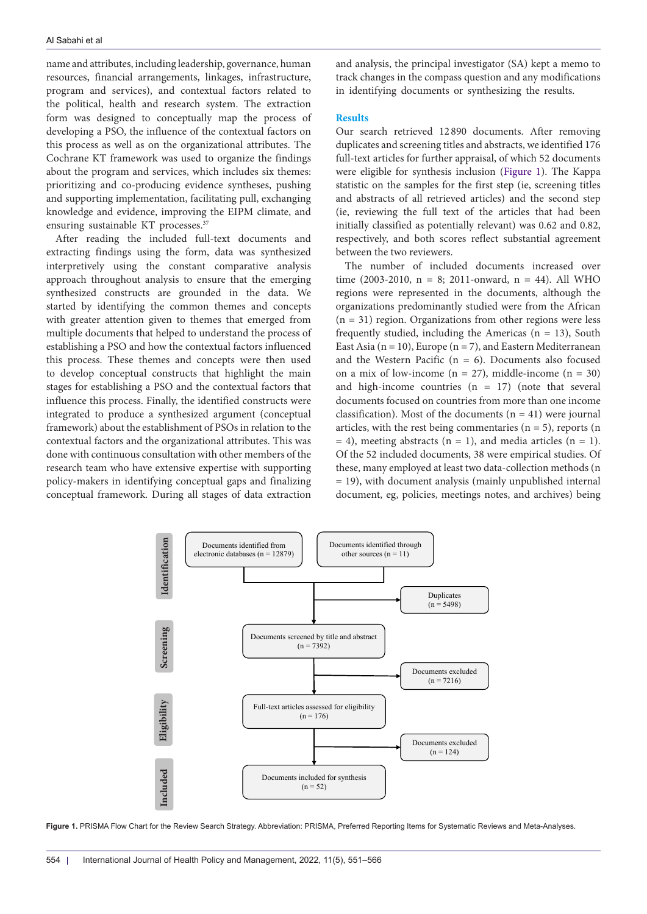name and attributes, including leadership, governance, human resources, financial arrangements, linkages, infrastructure, program and services), and contextual factors related to the political, health and research system. The extraction form was designed to conceptually map the process of developing a PSO, the influence of the contextual factors on this process as well as on the organizational attributes. The Cochrane KT framework was used to organize the findings about the program and services, which includes six themes: prioritizing and co-producing evidence syntheses, pushing and supporting implementation, facilitating pull, exchanging knowledge and evidence, improving the EIPM climate, and ensuring sustainable KT processes.<sup>37</sup>

After reading the included full-text documents and extracting findings using the form, data was synthesized interpretively using the constant comparative analysis approach throughout analysis to ensure that the emerging synthesized constructs are grounded in the data. We started by identifying the common themes and concepts with greater attention given to themes that emerged from multiple documents that helped to understand the process of establishing a PSO and how the contextual factors influenced this process. These themes and concepts were then used to develop conceptual constructs that highlight the main stages for establishing a PSO and the contextual factors that influence this process. Finally, the identified constructs were integrated to produce a synthesized argument (conceptual framework) about the establishment of PSOs in relation to the contextual factors and the organizational attributes. This was done with continuous consultation with other members of the research team who have extensive expertise with supporting policy-makers in identifying conceptual gaps and finalizing conceptual framework. During all stages of data extraction and analysis, the principal investigator (SA) kept a memo to track changes in the compass question and any modifications in identifying documents or synthesizing the results.

## **Results**

Our search retrieved 12 890 documents. After removing duplicates and screening titles and abstracts, we identified 176 full-text articles for further appraisal, of which 52 documents were eligible for synthesis inclusion ([Figure 1](#page-3-0)). The Kappa statistic on the samples for the first step (ie, screening titles and abstracts of all retrieved articles) and the second step (ie, reviewing the full text of the articles that had been initially classified as potentially relevant) was 0.62 and 0.82, respectively, and both scores reflect substantial agreement between the two reviewers.

The number of included documents increased over time  $(2003-2010, n = 8; 2011-onward, n = 44)$ . All WHO regions were represented in the documents, although the organizations predominantly studied were from the African  $(n = 31)$  region. Organizations from other regions were less frequently studied, including the Americas  $(n = 13)$ , South East Asia ( $n = 10$ ), Europe ( $n = 7$ ), and Eastern Mediterranean and the Western Pacific ( $n = 6$ ). Documents also focused on a mix of low-income  $(n = 27)$ , middle-income  $(n = 30)$ and high-income countries  $(n = 17)$  (note that several documents focused on countries from more than one income classification). Most of the documents  $(n = 41)$  were journal articles, with the rest being commentaries ( $n = 5$ ), reports ( $n = 5$ )  $= 4$ ), meeting abstracts (n = 1), and media articles (n = 1). Of the 52 included documents, 38 were empirical studies. Of these, many employed at least two data-collection methods (n = 19), with document analysis (mainly unpublished internal document, eg, policies, meetings notes, and archives) being

<span id="page-3-0"></span>

**Figure 1.** PRISMA Flow Chart for the Review Search Strategy. Abbreviation: PRISMA, Preferred Reporting Items for Systematic Reviews and Meta-Analyses.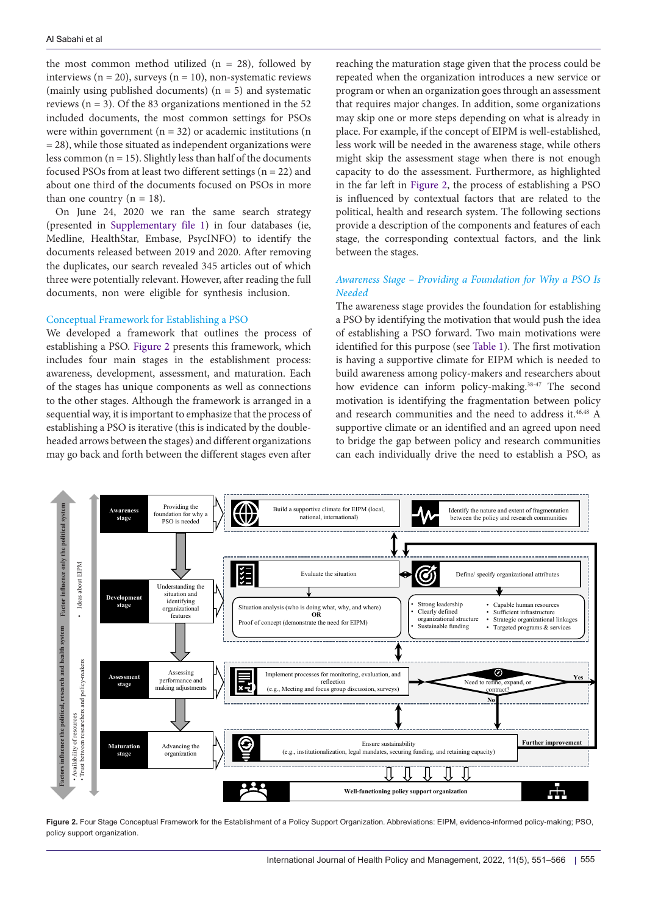the most common method utilized  $(n = 28)$ , followed by interviews ( $n = 20$ ), surveys ( $n = 10$ ), non-systematic reviews (mainly using published documents)  $(n = 5)$  and systematic reviews ( $n = 3$ ). Of the 83 organizations mentioned in the 52 included documents, the most common settings for PSOs were within government  $(n = 32)$  or academic institutions  $(n = 32)$  $= 28$ ), while those situated as independent organizations were less common  $(n = 15)$ . Slightly less than half of the documents focused PSOs from at least two different settings ( $n = 22$ ) and about one third of the documents focused on PSOs in more than one country  $(n = 18)$ .

On June 24, 2020 we ran the same search strategy (presented in [Supplementary file 1\)](#page-13-0) in four databases (ie, Medline, HealthStar, Embase, PsycINFO) to identify the documents released between 2019 and 2020. After removing the duplicates, our search revealed 345 articles out of which three were potentially relevant. However, after reading the full documents, non were eligible for synthesis inclusion.

## Conceptual Framework for Establishing a PSO

We developed a framework that outlines the process of establishing a PSO. [Figure 2](#page-4-0) presents this framework, which includes four main stages in the establishment process: awareness, development, assessment, and maturation. Each of the stages has unique components as well as connections to the other stages. Although the framework is arranged in a sequential way, it is important to emphasize that the process of establishing a PSO is iterative (this is indicated by the doubleheaded arrows between the stages) and different organizations may go back and forth between the different stages even after reaching the maturation stage given that the process could be repeated when the organization introduces a new service or program or when an organization goes through an assessment that requires major changes. In addition, some organizations may skip one or more steps depending on what is already in place. For example, if the concept of EIPM is well-established, less work will be needed in the awareness stage, while others might skip the assessment stage when there is not enough capacity to do the assessment. Furthermore, as highlighted in the far left in [Figure 2,](#page-4-0) the process of establishing a PSO is influenced by contextual factors that are related to the political, health and research system. The following sections provide a description of the components and features of each stage, the corresponding contextual factors, and the link between the stages.

# *Awareness Stage – Providing a Foundation for Why a PSO Is Needed*

The awareness stage provides the foundation for establishing a PSO by identifying the motivation that would push the idea of establishing a PSO forward. Two main motivations were identified for this purpose (see [Table 1\)](#page-5-0). The first motivation is having a supportive climate for EIPM which is needed to build awareness among policy-makers and researchers about how evidence can inform policy-making.<sup>38-47</sup> The second motivation is identifying the fragmentation between policy and research communities and the need to address it.<sup>46,48</sup> A supportive climate or an identified and an agreed upon need to bridge the gap between policy and research communities can each individually drive the need to establish a PSO, as

<span id="page-4-0"></span>

**Figure 2.** Four Stage Conceptual Framework for the Establishment of a Policy Support Organization. Abbreviations: EIPM, evidence-informed policy-making; PSO, policy support organization.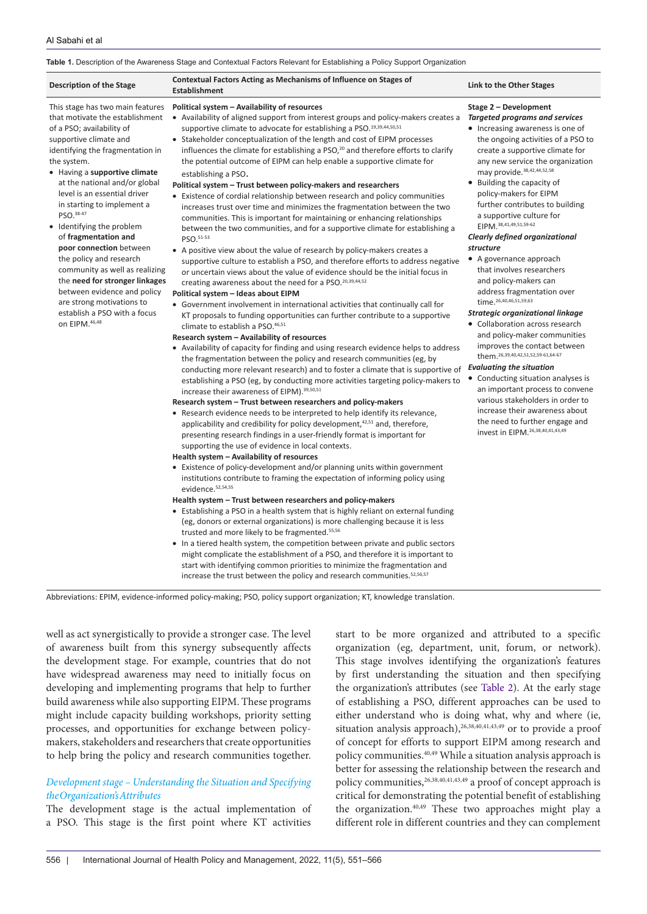#### <span id="page-5-0"></span>**Table 1.** Description of the Awareness Stage and Contextual Factors Relevant for Establishing a Policy Support Organization

| <b>Description of the Stage</b>                                                                                                                                                                                                                                                                                                                                                                                                                                                                                                                                                                                         | <b>Contextual Factors Acting as Mechanisms of Influence on Stages of</b><br><b>Establishment</b>                                                                                                                                                                                                                                                                                                                                                                                                                                                                                                                                                                                                                                                                                                                                                                                                                                                                                                                                                                                                                                                                                                                                                                                                                                                                                                                                                                                                                                                                                                                                                                                                                                                                                                                                                                                                                                                                                                                                                                                                                                                                                                                                                                                                                                                                                                                                                                                                                                                                                                                                                                                                                                                                                                                                                                                                                                                                                                                                                                                                                                                                   | Link to the Other Stages                                                                                                                                                                                                                                                                                                                                                                                                                                                                                                                                                                                                                                                                                                                                                                                                                                                                                                                                                                                                                          |
|-------------------------------------------------------------------------------------------------------------------------------------------------------------------------------------------------------------------------------------------------------------------------------------------------------------------------------------------------------------------------------------------------------------------------------------------------------------------------------------------------------------------------------------------------------------------------------------------------------------------------|--------------------------------------------------------------------------------------------------------------------------------------------------------------------------------------------------------------------------------------------------------------------------------------------------------------------------------------------------------------------------------------------------------------------------------------------------------------------------------------------------------------------------------------------------------------------------------------------------------------------------------------------------------------------------------------------------------------------------------------------------------------------------------------------------------------------------------------------------------------------------------------------------------------------------------------------------------------------------------------------------------------------------------------------------------------------------------------------------------------------------------------------------------------------------------------------------------------------------------------------------------------------------------------------------------------------------------------------------------------------------------------------------------------------------------------------------------------------------------------------------------------------------------------------------------------------------------------------------------------------------------------------------------------------------------------------------------------------------------------------------------------------------------------------------------------------------------------------------------------------------------------------------------------------------------------------------------------------------------------------------------------------------------------------------------------------------------------------------------------------------------------------------------------------------------------------------------------------------------------------------------------------------------------------------------------------------------------------------------------------------------------------------------------------------------------------------------------------------------------------------------------------------------------------------------------------------------------------------------------------------------------------------------------------------------------------------------------------------------------------------------------------------------------------------------------------------------------------------------------------------------------------------------------------------------------------------------------------------------------------------------------------------------------------------------------------------------------------------------------------------------------------------------------------|---------------------------------------------------------------------------------------------------------------------------------------------------------------------------------------------------------------------------------------------------------------------------------------------------------------------------------------------------------------------------------------------------------------------------------------------------------------------------------------------------------------------------------------------------------------------------------------------------------------------------------------------------------------------------------------------------------------------------------------------------------------------------------------------------------------------------------------------------------------------------------------------------------------------------------------------------------------------------------------------------------------------------------------------------|
| This stage has two main features<br>that motivate the establishment<br>of a PSO; availability of<br>supportive climate and<br>identifying the fragmentation in<br>the system.<br>• Having a supportive climate<br>at the national and/or global<br>level is an essential driver<br>in starting to implement a<br>PSO. 38-47<br>• Identifying the problem<br>of fragmentation and<br>poor connection between<br>the policy and research<br>community as well as realizing<br>the need for stronger linkages<br>between evidence and policy<br>are strong motivations to<br>establish a PSO with a focus<br>on EIPM.46,48 | Political system - Availability of resources<br>• Availability of aligned support from interest groups and policy-makers creates a<br>supportive climate to advocate for establishing a PSO.19,39,44,50,51<br>• Stakeholder conceptualization of the length and cost of EIPM processes<br>influences the climate for establishing a PSO, <sup>20</sup> and therefore efforts to clarify<br>the potential outcome of EIPM can help enable a supportive climate for<br>establishing a PSO.<br>Political system - Trust between policy-makers and researchers<br>• Existence of cordial relationship between research and policy communities<br>increases trust over time and minimizes the fragmentation between the two<br>communities. This is important for maintaining or enhancing relationships<br>between the two communities, and for a supportive climate for establishing a<br>PSO.51-53<br>• A positive view about the value of research by policy-makers creates a<br>supportive culture to establish a PSO, and therefore efforts to address negative<br>or uncertain views about the value of evidence should be the initial focus in<br>creating awareness about the need for a PSO. <sup>20,39,44,52</sup><br>Political system - Ideas about EIPM<br>• Government involvement in international activities that continually call for<br>KT proposals to funding opportunities can further contribute to a supportive<br>climate to establish a PSO.46,51<br>Research system - Availability of resources<br>• Availability of capacity for finding and using research evidence helps to address<br>the fragmentation between the policy and research communities (eg, by<br>conducting more relevant research) and to foster a climate that is supportive of<br>establishing a PSO (eg, by conducting more activities targeting policy-makers to<br>increase their awareness of EIPM). 39,50,51<br>Research system - Trust between researchers and policy-makers<br>• Research evidence needs to be interpreted to help identify its relevance,<br>applicability and credibility for policy development, <sup>42,51</sup> and, therefore,<br>presenting research findings in a user-friendly format is important for<br>supporting the use of evidence in local contexts.<br>Health system - Availability of resources<br>• Existence of policy-development and/or planning units within government<br>institutions contribute to framing the expectation of informing policy using<br>evidence. <sup>52,54,55</sup><br>Health system – Trust between researchers and policy-makers<br>• Establishing a PSO in a health system that is highly reliant on external funding<br>(eg, donors or external organizations) is more challenging because it is less<br>trusted and more likely to be fragmented. <sup>55,56</sup><br>• In a tiered health system, the competition between private and public sectors<br>might complicate the establishment of a PSO, and therefore it is important to<br>start with identifying common priorities to minimize the fragmentation and<br>increase the trust between the policy and research communities. 52,56,57 | Stage 2 - Development<br><b>Targeted programs and services</b><br>• Increasing awareness is one of<br>the ongoing activities of a PSO to<br>create a supportive climate for<br>any new service the organization<br>may provide. 38,42,44,52,58<br>• Building the capacity of<br>policy-makers for EIPM<br>further contributes to building<br>a supportive culture for<br>EIPM. 38,41,49,51,59-62<br>Clearly defined organizational<br>structure<br>• A governance approach<br>that involves researchers<br>and policy-makers can<br>address fragmentation over<br>time. 26, 40, 46, 51, 59, 63<br>Strategic organizational linkage<br>• Collaboration across research<br>and policy-maker communities<br>improves the contact between<br>them. 26, 39, 40, 42, 51, 52, 59-61, 64-67<br><b>Evaluating the situation</b><br>• Conducting situation analyses is<br>an important process to convene<br>various stakeholders in order to<br>increase their awareness about<br>the need to further engage and<br>invest in EIPM. 26, 38, 40, 41, 43, 49 |

Abbreviations: EPIM, evidence-informed policy-making; PSO, policy support organization; KT, knowledge translation.

well as act synergistically to provide a stronger case. The level of awareness built from this synergy subsequently affects the development stage. For example, countries that do not have widespread awareness may need to initially focus on developing and implementing programs that help to further build awareness while also supporting EIPM. These programs might include capacity building workshops, priority setting processes, and opportunities for exchange between policymakers, stakeholders and researchers that create opportunities to help bring the policy and research communities together.

# *Development stage – Understanding the Situation and Specifying the Organization's Attributes*

The development stage is the actual implementation of a PSO. This stage is the first point where KT activities

start to be more organized and attributed to a specific organization (eg, department, unit, forum, or network). This stage involves identifying the organization's features by first understanding the situation and then specifying the organization's attributes (see [Table 2](#page-6-0)). At the early stage of establishing a PSO, different approaches can be used to either understand who is doing what, why and where (ie, situation analysis approach), $26,38,40,41,43,49$  or to provide a proof of concept for efforts to support EIPM among research and policy communities.40,49 While a situation analysis approach is better for assessing the relationship between the research and policy communities,<sup>26,38,40,41,43,49</sup> a proof of concept approach is critical for demonstrating the potential benefit of establishing the organization.40,49 These two approaches might play a different role in different countries and they can complement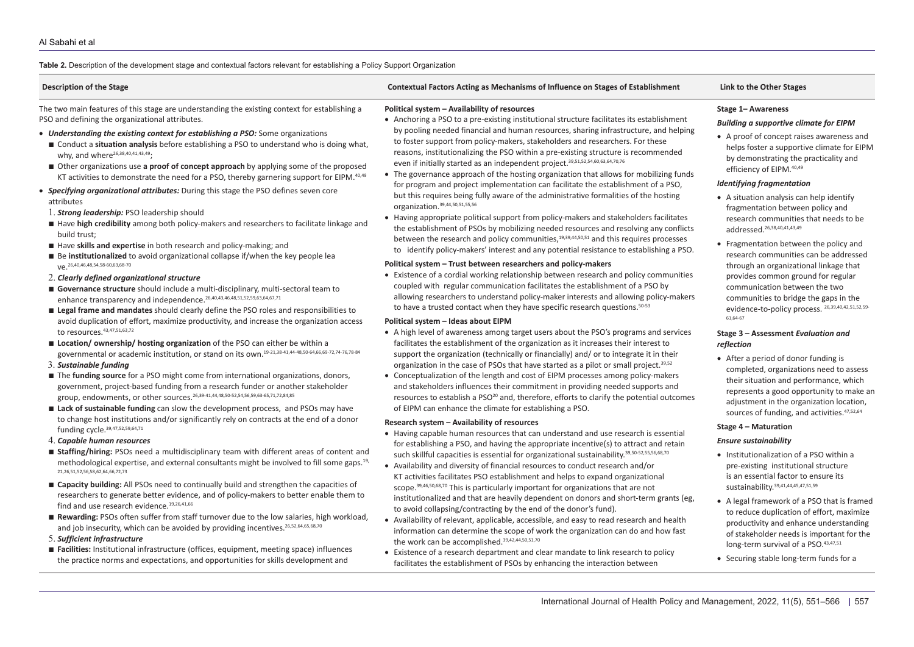## **Table 2.** Description of the development stage and contextual factors relevant for establishing a Policy Support Organization

<span id="page-6-0"></span>

| <b>Description of the Stage</b>                                                                                                                                                                                                                                                                                                                                                                                                                                                                                                                                                                                                                                                                                                                                                                                                                                                                                                                                                                                                                                                                                                                                                                                                                                                                                                                                                                                                                                                                                                                                                                                                                                                                                                                                                                                                                                                                                                                                                                                                                                                                                                                                                                                                                                                                                                                                                                                                                                                                                                                                                                                                                                                                                                                                                                                                                                                                                                                                                                                                                                                                                                                                          | Contextual Factors Acting as Mechanisms of Influence on Stages of Establishment                                                                                                                                                                                                                                                                                                                                                                                                                                                                                                                                                                                                                                                                                                                                                                                                                                                                                                                                                                                                                                                                                                                                                                                                                                                                                                                                                                                                                                                                                                                                                                                                                                                                                                                                                                                                                                                                                                                                                                                                                                                                                                                                                                                                                                                                                                                                                                                                                                                                                                                                                                                                                                                                                                                                                                                                                                                                                                                                                                                                                                                                                                                                                                                                                                                                                                                                                                                                                                                                                                   | Link to the Other Stages                                                                                                                                                                                                                                                                                                                                                                                                                                                                                                                                                                                                                                                                                                                                                                                                                                                                                                                                                                                                                                                                                                                                                                                                                                                                                                                                                                                                                                                                                                                                                                                |
|--------------------------------------------------------------------------------------------------------------------------------------------------------------------------------------------------------------------------------------------------------------------------------------------------------------------------------------------------------------------------------------------------------------------------------------------------------------------------------------------------------------------------------------------------------------------------------------------------------------------------------------------------------------------------------------------------------------------------------------------------------------------------------------------------------------------------------------------------------------------------------------------------------------------------------------------------------------------------------------------------------------------------------------------------------------------------------------------------------------------------------------------------------------------------------------------------------------------------------------------------------------------------------------------------------------------------------------------------------------------------------------------------------------------------------------------------------------------------------------------------------------------------------------------------------------------------------------------------------------------------------------------------------------------------------------------------------------------------------------------------------------------------------------------------------------------------------------------------------------------------------------------------------------------------------------------------------------------------------------------------------------------------------------------------------------------------------------------------------------------------------------------------------------------------------------------------------------------------------------------------------------------------------------------------------------------------------------------------------------------------------------------------------------------------------------------------------------------------------------------------------------------------------------------------------------------------------------------------------------------------------------------------------------------------------------------------------------------------------------------------------------------------------------------------------------------------------------------------------------------------------------------------------------------------------------------------------------------------------------------------------------------------------------------------------------------------------------------------------------------------------------------------------------------------|-----------------------------------------------------------------------------------------------------------------------------------------------------------------------------------------------------------------------------------------------------------------------------------------------------------------------------------------------------------------------------------------------------------------------------------------------------------------------------------------------------------------------------------------------------------------------------------------------------------------------------------------------------------------------------------------------------------------------------------------------------------------------------------------------------------------------------------------------------------------------------------------------------------------------------------------------------------------------------------------------------------------------------------------------------------------------------------------------------------------------------------------------------------------------------------------------------------------------------------------------------------------------------------------------------------------------------------------------------------------------------------------------------------------------------------------------------------------------------------------------------------------------------------------------------------------------------------------------------------------------------------------------------------------------------------------------------------------------------------------------------------------------------------------------------------------------------------------------------------------------------------------------------------------------------------------------------------------------------------------------------------------------------------------------------------------------------------------------------------------------------------------------------------------------------------------------------------------------------------------------------------------------------------------------------------------------------------------------------------------------------------------------------------------------------------------------------------------------------------------------------------------------------------------------------------------------------------------------------------------------------------------------------------------------------------------------------------------------------------------------------------------------------------------------------------------------------------------------------------------------------------------------------------------------------------------------------------------------------------------------------------------------------------------------------------------------------------------------------------------------------------------------------------------------------------------------------------------------------------------------------------------------------------------------------------------------------------------------------------------------------------------------------------------------------------------------------------------------------------------------------------------------------------------------------------------------------------|---------------------------------------------------------------------------------------------------------------------------------------------------------------------------------------------------------------------------------------------------------------------------------------------------------------------------------------------------------------------------------------------------------------------------------------------------------------------------------------------------------------------------------------------------------------------------------------------------------------------------------------------------------------------------------------------------------------------------------------------------------------------------------------------------------------------------------------------------------------------------------------------------------------------------------------------------------------------------------------------------------------------------------------------------------------------------------------------------------------------------------------------------------------------------------------------------------------------------------------------------------------------------------------------------------------------------------------------------------------------------------------------------------------------------------------------------------------------------------------------------------------------------------------------------------------------------------------------------------|
| The two main features of this stage are understanding the existing context for establishing a<br>PSO and defining the organizational attributes.<br><b>Understanding the existing context for establishing a PSO:</b> Some organizations<br>■ Conduct a situation analysis before establishing a PSO to understand who is doing what,<br>why, and where <sup>26,38,40,41,43,49</sup> :<br>■ Other organizations use a proof of concept approach by applying some of the proposed<br>KT activities to demonstrate the need for a PSO, thereby garnering support for EIPM. <sup>40,49</sup><br>Specifying organizational attributes: During this stage the PSO defines seven core<br>attributes<br>1. <b>Strong leadership:</b> PSO leadership should<br>Have high credibility among both policy-makers and researchers to facilitate linkage and<br>build trust;<br>Have skills and expertise in both research and policy-making; and<br>Be institutionalized to avoid organizational collapse if/when the key people lea<br>Ve. 26,40,46,48,54,58-60,63,68-70<br>2. Clearly defined organizational structure<br>Governance structure should include a multi-disciplinary, multi-sectoral team to<br>enhance transparency and independence. <sup>26,40,43,46,48,51,52,59,63,64,67,71</sup><br>Legal frame and mandates should clearly define the PSO roles and responsibilities to<br>avoid duplication of effort, maximize productivity, and increase the organization access<br>to resources. 43,47,51,63,72<br>Location/ownership/hosting organization of the PSO can either be within a<br>governmental or academic institution, or stand on its own. <sup>19-21,38-41,44-48,50-64,66,69-72,74-76,78-84</sup><br>3. Sustainable funding<br>The funding source for a PSO might come from international organizations, donors,<br>government, project-based funding from a research funder or another stakeholder<br>group, endowments, or other sources. 26,39-41,44,48,50-52,54,56,59,63-65,71,72,84,85<br>Lack of sustainable funding can slow the development process, and PSOs may have<br>to change host institutions and/or significantly rely on contracts at the end of a donor<br>funding cycle. 39,47,52,59,64,71<br>4. Capable human resources<br><b>Staffing/hiring:</b> PSOs need a multidisciplinary team with different areas of content and<br>methodological expertise, and external consultants might be involved to fill some gaps. <sup>19,</sup><br>21, 26, 51, 52, 56, 58, 62, 64, 66, 72, 73<br>■ Capacity building: All PSOs need to continually build and strengthen the capacities of<br>researchers to generate better evidence, and of policy-makers to better enable them to<br>find and use research evidence. <sup>19,26,41,66</sup><br>Rewarding: PSOs often suffer from staff turnover due to the low salaries, high workload,<br>and job insecurity, which can be avoided by providing incentives. 26,52,64,65,68,70<br>5. Sufficient infrastructure<br>Facilities: Institutional infrastructure (offices, equipment, meeting space) influences<br>the practice norms and expectations, and opportunities for skills development and | Political system - Availability of resources<br>• Anchoring a PSO to a pre-existing institutional structure facilitates its establishment<br>by pooling needed financial and human resources, sharing infrastructure, and helping<br>to foster support from policy-makers, stakeholders and researchers. For these<br>reasons, institutionalizing the PSO within a pre-existing structure is recommended<br>even if initially started as an independent project. <sup>39,51,52,54,60,63,64,70,76</sup><br>• The governance approach of the hosting organization that allows for mobilizing funds<br>for program and project implementation can facilitate the establishment of a PSO,<br>but this requires being fully aware of the administrative formalities of the hosting<br>organization. <sup>39,44,50,51,55,56</sup><br>• Having appropriate political support from policy-makers and stakeholders facilitates<br>the establishment of PSOs by mobilizing needed resources and resolving any conflicts<br>between the research and policy communities, $19,39,44,50,51$ and this requires processes<br>to identify policy-makers' interest and any potential resistance to establishing a PSO.<br>Political system - Trust between researchers and policy-makers<br>• Existence of a cordial working relationship between research and policy communities<br>coupled with regular communication facilitates the establishment of a PSO by<br>allowing researchers to understand policy-maker interests and allowing policy-makers<br>to have a trusted contact when they have specific research questions. <sup>50-53</sup><br>Political system - Ideas about EIPM<br>• A high level of awareness among target users about the PSO's programs and services<br>facilitates the establishment of the organization as it increases their interest to<br>support the organization (technically or financially) and/ or to integrate it in their<br>organization in the case of PSOs that have started as a pilot or small project. <sup>39,52</sup><br>• Conceptualization of the length and cost of EIPM processes among policy-makers<br>and stakeholders influences their commitment in providing needed supports and<br>resources to establish a PSO <sup>20</sup> and, therefore, efforts to clarify the potential outcomes<br>of EIPM can enhance the climate for establishing a PSO.<br>Research system - Availability of resources<br>• Having capable human resources that can understand and use research is essential<br>for establishing a PSO, and having the appropriate incentive(s) to attract and retain<br>such skillful capacities is essential for organizational sustainability. <sup>39,50-52,55,56,68,70</sup><br>• Availability and diversity of financial resources to conduct research and/or<br>KT activities facilitates PSO establishment and helps to expand organizational<br>scope. <sup>39,46,50,68,70</sup> This is particularly important for organizations that are not<br>institutionalized and that are heavily dependent on donors and short-term grants (eg,<br>to avoid collapsing/contracting by the end of the donor's fund).<br>• Availability of relevant, applicable, accessible, and easy to read research and health<br>information can determine the scope of work the organization can do and how fast<br>the work can be accomplished. 39,42,44,50,51,70<br>• Existence of a research department and clear mandate to link research to policy<br>facilitates the establishment of PSOs by enhancing the interaction between | Stage 1- Awareness<br><b>Building a supportive climate for EIPM</b><br>• A proof of concept raises awareness and<br>helps foster a supportive climate for EIPM<br>by demonstrating the practicality and<br>efficiency of EIPM. <sup>40,49</sup><br><b>Identifying fragmentation</b><br>• A situation analysis can help identify<br>fragmentation between policy and<br>research communities that needs to be<br>addressed. 26, 38, 40, 41, 43, 49<br>• Fragmentation between the policy and<br>research communities can be addressed<br>through an organizational linkage that<br>provides common ground for regular<br>communication between the two<br>communities to bridge the gaps in the<br>evidence-to-policy process. 26,39,40,42,51,52,59-<br>61,64-67<br>Stage 3 - Assessment Evaluation and<br>reflection<br>• After a period of donor funding is<br>completed, organizations need to assess<br>their situation and performance, which<br>represents a good opportunity to make an<br>adjustment in the organization location,<br>sources of funding, and activities. 47,52,64<br>Stage 4 - Maturation<br><b>Ensure sustainability</b><br>• Institutionalization of a PSO within a<br>pre-existing institutional structure<br>is an essential factor to ensure its<br>sustainability. <sup>39,41,44,45,47,51,59</sup><br>• A legal framework of a PSO that is framed<br>to reduce duplication of effort, maximize<br>productivity and enhance understanding<br>of stakeholder needs is important for the<br>long-term survival of a PSO. 43,47,51<br>• Securing stable long-term funds for a |
|                                                                                                                                                                                                                                                                                                                                                                                                                                                                                                                                                                                                                                                                                                                                                                                                                                                                                                                                                                                                                                                                                                                                                                                                                                                                                                                                                                                                                                                                                                                                                                                                                                                                                                                                                                                                                                                                                                                                                                                                                                                                                                                                                                                                                                                                                                                                                                                                                                                                                                                                                                                                                                                                                                                                                                                                                                                                                                                                                                                                                                                                                                                                                                          | International Journal of Health Policy and Management, 2022, 11(5), 551-566   557                                                                                                                                                                                                                                                                                                                                                                                                                                                                                                                                                                                                                                                                                                                                                                                                                                                                                                                                                                                                                                                                                                                                                                                                                                                                                                                                                                                                                                                                                                                                                                                                                                                                                                                                                                                                                                                                                                                                                                                                                                                                                                                                                                                                                                                                                                                                                                                                                                                                                                                                                                                                                                                                                                                                                                                                                                                                                                                                                                                                                                                                                                                                                                                                                                                                                                                                                                                                                                                                                                 |                                                                                                                                                                                                                                                                                                                                                                                                                                                                                                                                                                                                                                                                                                                                                                                                                                                                                                                                                                                                                                                                                                                                                                                                                                                                                                                                                                                                                                                                                                                                                                                                         |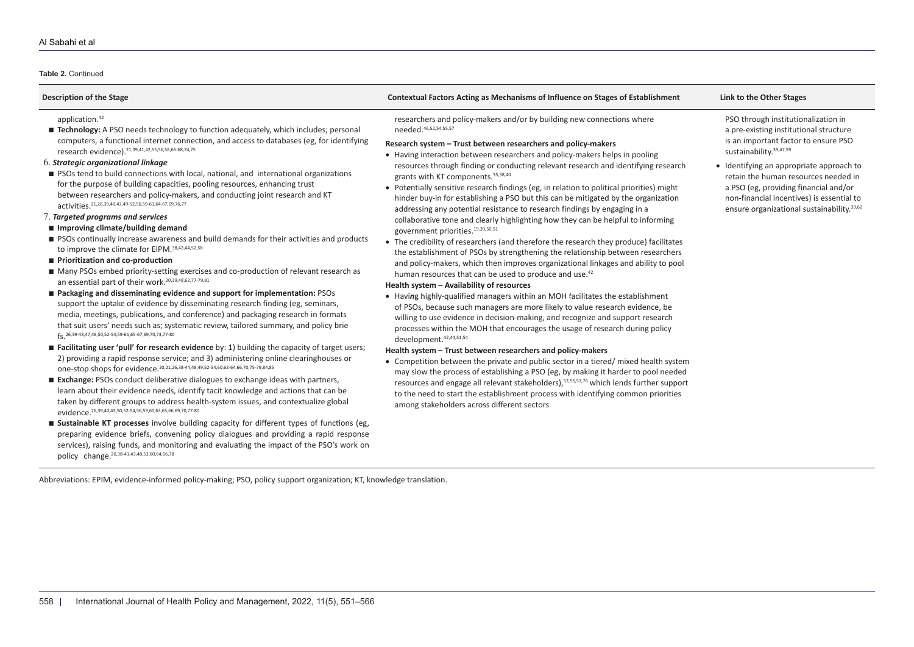## **Table 2.** Continued

| <b>Description of the Stage</b>                                                                                                                                                                                                                                                                                                                                                                                                                                                                                                                                                                                                                                                                                                                                                                                                                                                                                                                                                                                                                                                                                                                                                                                                                                                                                                                                                                                                                                                                                                                                                                                                                                                                                                                                                                                                                                                                                                                                                                                                                                                                                                                                                                                                                                                                                                                                                                                                                                                           | Contextual Factors Acting as Mechanisms of Influence on Stages of Establishment                                                                                                                                                                                                                                                                                                                                                                                                                                                                                                                                                                                                                                                                                                                                                                                                                                                                                                                                                                                                                                                                                                                                                                                                                                                                                                                                                                                                                                                                                                                                                                                                                                                                                                                                                                                                                                                                                                                                       | Link to the Other Stages                                                                                                                                                                                                                                                                                                                                                              |  |  |  |
|-------------------------------------------------------------------------------------------------------------------------------------------------------------------------------------------------------------------------------------------------------------------------------------------------------------------------------------------------------------------------------------------------------------------------------------------------------------------------------------------------------------------------------------------------------------------------------------------------------------------------------------------------------------------------------------------------------------------------------------------------------------------------------------------------------------------------------------------------------------------------------------------------------------------------------------------------------------------------------------------------------------------------------------------------------------------------------------------------------------------------------------------------------------------------------------------------------------------------------------------------------------------------------------------------------------------------------------------------------------------------------------------------------------------------------------------------------------------------------------------------------------------------------------------------------------------------------------------------------------------------------------------------------------------------------------------------------------------------------------------------------------------------------------------------------------------------------------------------------------------------------------------------------------------------------------------------------------------------------------------------------------------------------------------------------------------------------------------------------------------------------------------------------------------------------------------------------------------------------------------------------------------------------------------------------------------------------------------------------------------------------------------------------------------------------------------------------------------------------------------|-----------------------------------------------------------------------------------------------------------------------------------------------------------------------------------------------------------------------------------------------------------------------------------------------------------------------------------------------------------------------------------------------------------------------------------------------------------------------------------------------------------------------------------------------------------------------------------------------------------------------------------------------------------------------------------------------------------------------------------------------------------------------------------------------------------------------------------------------------------------------------------------------------------------------------------------------------------------------------------------------------------------------------------------------------------------------------------------------------------------------------------------------------------------------------------------------------------------------------------------------------------------------------------------------------------------------------------------------------------------------------------------------------------------------------------------------------------------------------------------------------------------------------------------------------------------------------------------------------------------------------------------------------------------------------------------------------------------------------------------------------------------------------------------------------------------------------------------------------------------------------------------------------------------------------------------------------------------------------------------------------------------------|---------------------------------------------------------------------------------------------------------------------------------------------------------------------------------------------------------------------------------------------------------------------------------------------------------------------------------------------------------------------------------------|--|--|--|
| application. <sup>42</sup><br><b>E</b> Technology: A PSO needs technology to function adequately, which includes; personal<br>computers, a functional internet connection, and access to databases (eg, for identifying<br>research evidence). 21,39,41,42,55,56,58,66-68,74,75<br>6. Strategic organizational linkage<br>■ PSOs tend to build connections with local, national, and international organizations<br>for the purpose of building capacities, pooling resources, enhancing trust<br>between researchers and policy-makers, and conducting joint research and KT<br>activities. <sup>21,26,39,40,42,49-52,56,59-61,64-67,69,76,77</sup><br>7. Targeted programs and services<br>■ Improving climate/building demand<br>PSOs continually increase awareness and build demands for their activities and products<br>to improve the climate for EIPM. 38,42,44,52,58<br>Prioritization and co-production<br>■ Many PSOs embed priority-setting exercises and co-production of relevant research as<br>an essential part of their work. <sup>20,39,48,62,77-79,81</sup><br>■ Packaging and disseminating evidence and support for implementation: PSOs<br>support the uptake of evidence by disseminating research finding (eg, seminars,<br>media, meetings, publications, and conference) and packaging research in formats<br>that suit users' needs such as; systematic review, tailored summary, and policy brie<br>fc 26,39-43,47,48,50,52-54,59-61,65-67,69,70,73,77-80<br><b>Example:</b> Facilitating user 'pull' for research evidence by: 1) building the capacity of target users;<br>2) providing a rapid response service; and 3) administering online clearinghouses or<br>one-stop shops for evidence. 20,21,26,38-44,48,49,52-54,60,62-64,66,70,75-79,84,85<br>Exchange: PSOs conduct deliberative dialogues to exchange ideas with partners,<br>learn about their evidence needs, identify tacit knowledge and actions that can be<br>taken by different groups to address health-system issues, and contextualize global<br>evidence. <sup>26,39,40,43,50,52-54,56,59,60,63,65,66,69,70,77-80</sup><br><b>Example:</b> Sustainable KT processes involve building capacity for different types of functions (eg,<br>preparing evidence briefs, convening policy dialogues and providing a rapid response<br>services), raising funds, and monitoring and evaluating the impact of the PSO's work on<br>policy change. <sup>20,38-41,43,48,53,60,64,66,78</sup> | researchers and policy-makers and/or by building new connections where<br>needed. 46,52,54,55,57<br>Research system - Trust between researchers and policy-makers<br>• Having interaction between researchers and policy-makers helps in pooling<br>resources through finding or conducting relevant research and identifying research<br>grants with KT components. 35,38,40<br>• Potentially sensitive research findings (eg, in relation to political priorities) might<br>hinder buy-in for establishing a PSO but this can be mitigated by the organization<br>addressing any potential resistance to research findings by engaging in a<br>collaborative tone and clearly highlighting how they can be helpful to informing<br>government priorities. <sup>19,20,50,51</sup><br>• The credibility of researchers (and therefore the research they produce) facilitates<br>the establishment of PSOs by strengthening the relationship between researchers<br>and policy-makers, which then improves organizational linkages and ability to pool<br>human resources that can be used to produce and use. <sup>42</sup><br>Health system - Availability of resources<br>• Having highly-qualified managers within an MOH facilitates the establishment<br>of PSOs, because such managers are more likely to value research evidence, be<br>willing to use evidence in decision-making, and recognize and support research<br>processes within the MOH that encourages the usage of research during policy<br>development. 42,44,51,54<br>Health system - Trust between researchers and policy-makers<br>• Competition between the private and public sector in a tiered/mixed health system<br>may slow the process of establishing a PSO (eg, by making it harder to pool needed<br>resources and engage all relevant stakeholders), 52,56,57,76 which lends further support<br>to the need to start the establishment process with identifying common priorities<br>among stakeholders across different sectors | PSO through institutionalization in<br>a pre-existing institutional structure<br>is an important factor to ensure PSO<br>sustainability. 39,47,59<br>• Identifying an appropriate approach to<br>retain the human resources needed in<br>a PSO (eg, providing financial and/or<br>non-financial incentives) is essential to<br>ensure organizational sustainability. <sup>39,62</sup> |  |  |  |

Abbreviations: EPIM, evidence-informed policy-making; PSO, policy support organization; KT, knowledge translation.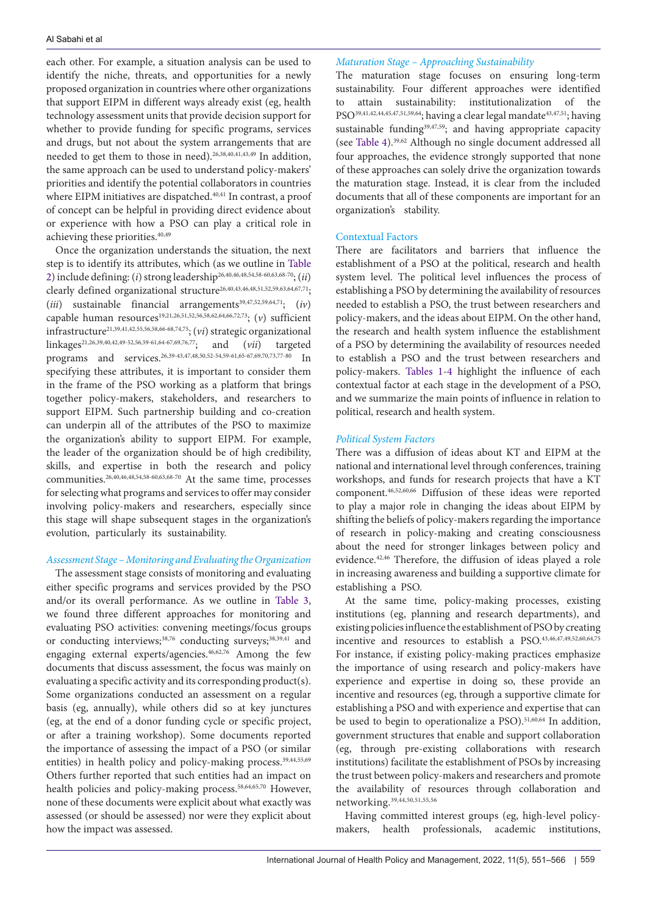each other. For example, a situation analysis can be used to identify the niche, threats, and opportunities for a newly proposed organization in countries where other organizations that support EIPM in different ways already exist (eg, health technology assessment units that provide decision support for whether to provide funding for specific programs, services and drugs, but not about the system arrangements that are needed to get them to those in need).26,38,40,41,43,49 In addition, the same approach can be used to understand policy-makers' priorities and identify the potential collaborators in countries where EIPM initiatives are dispatched.<sup>40,41</sup> In contrast, a proof of concept can be helpful in providing direct evidence about or experience with how a PSO can play a critical role in achieving these priorities.<sup>40,49</sup>

Once the organization understands the situation, the next step is to identify its attributes, which (as we outline in [Table](#page-6-0) [2](#page-6-0)) include defining: (*i*) strong leadership26,40,46,48,54,58-60,63,68-70; (*ii*) clearly defined organizational structure<sup>26,40,43,46,48,51,52,59,63,64,67,71</sup>;  $(iii)$  sustainable financial arrangements<sup>39,47,52,59,64,71</sup>;  $(iv)$ capable human resources<sup>19,21,26,51,52,56,58,62,64,66,72,73</sup>; (*v*) sufficient infrastructure21,39,41,42,55,56,58,66-68,74,75; (*vi*) strategic organizational linkages21,26,39,40,42,49-52,56,59-61,64-67,69,76,77; and (*vii*) targeted programs and services.26,39-43,47,48,50,52-54,59-61,65-67,69,70,73,77-80 In specifying these attributes, it is important to consider them in the frame of the PSO working as a platform that brings together policy-makers, stakeholders, and researchers to support EIPM. Such partnership building and co-creation can underpin all of the attributes of the PSO to maximize the organization's ability to support EIPM. For example, the leader of the organization should be of high credibility, skills, and expertise in both the research and policy communities.26,40,46,48,54,58-60,63,68-70 At the same time, processes for selecting what programs and services to offer may consider involving policy-makers and researchers, especially since this stage will shape subsequent stages in the organization's evolution, particularly its sustainability.

# *Assessment Stage – Monitoring and Evaluating the Organization*

The assessment stage consists of monitoring and evaluating either specific programs and services provided by the PSO and/or its overall performance. As we outline in [Table 3](#page-9-0), we found three different approaches for monitoring and evaluating PSO activities: convening meetings/focus groups or conducting interviews;<sup>38,76</sup> conducting surveys;<sup>38,39,41</sup> and engaging external experts/agencies.46,62,76 Among the few documents that discuss assessment, the focus was mainly on evaluating a specific activity and its corresponding product(s). Some organizations conducted an assessment on a regular basis (eg, annually), while others did so at key junctures (eg, at the end of a donor funding cycle or specific project, or after a training workshop). Some documents reported the importance of assessing the impact of a PSO (or similar entities) in health policy and policy-making process.<sup>39,44,55,69</sup> Others further reported that such entities had an impact on health policies and policy-making process.<sup>58,64,65,70</sup> However, none of these documents were explicit about what exactly was assessed (or should be assessed) nor were they explicit about how the impact was assessed.

# *Maturation Stage – Approaching Sustainability*

The maturation stage focuses on ensuring long-term sustainability. Four different approaches were identified to attain sustainability: institutionalization of the PSO<sup>39,41,42,44,45,47,51,59,64</sup>; having a clear legal mandate<sup>43,47,51</sup>; having sustainable funding<sup>39,47,59</sup>; and having appropriate capacity (see [Table 4](#page-10-0)).39,62 Although no single document addressed all four approaches, the evidence strongly supported that none of these approaches can solely drive the organization towards the maturation stage. Instead, it is clear from the included documents that all of these components are important for an organization's stability.

## Contextual Factors

There are facilitators and barriers that influence the establishment of a PSO at the political, research and health system level. The political level influences the process of establishing a PSO by determining the availability of resources needed to establish a PSO, the trust between researchers and policy-makers, and the ideas about EIPM. On the other hand, the research and health system influence the establishment of a PSO by determining the availability of resources needed to establish a PSO and the trust between researchers and policy-makers. [Tables 1](#page-5-0)[-4](#page-10-0) highlight the influence of each contextual factor at each stage in the development of a PSO, and we summarize the main points of influence in relation to political, research and health system.

# *Political System Factors*

There was a diffusion of ideas about KT and EIPM at the national and international level through conferences, training workshops, and funds for research projects that have a KT component.46,52,60,66 Diffusion of these ideas were reported to play a major role in changing the ideas about EIPM by shifting the beliefs of policy-makers regarding the importance of research in policy-making and creating consciousness about the need for stronger linkages between policy and evidence.42,46 Therefore, the diffusion of ideas played a role in increasing awareness and building a supportive climate for establishing a PSO.

At the same time, policy-making processes, existing institutions (eg, planning and research departments), and existing policies influence the establishment of PSO by creating incentive and resources to establish a PSO.43,46,47,49,52,60,64,75 For instance, if existing policy-making practices emphasize the importance of using research and policy-makers have experience and expertise in doing so, these provide an incentive and resources (eg, through a supportive climate for establishing a PSO and with experience and expertise that can be used to begin to operationalize a PSO).<sup>51,60,64</sup> In addition, government structures that enable and support collaboration (eg, through pre-existing collaborations with research institutions) facilitate the establishment of PSOs by increasing the trust between policy-makers and researchers and promote the availability of resources through collaboration and networking.39,44,50,51,55,56

Having committed interest groups (eg, high-level policymakers, health professionals, academic institutions,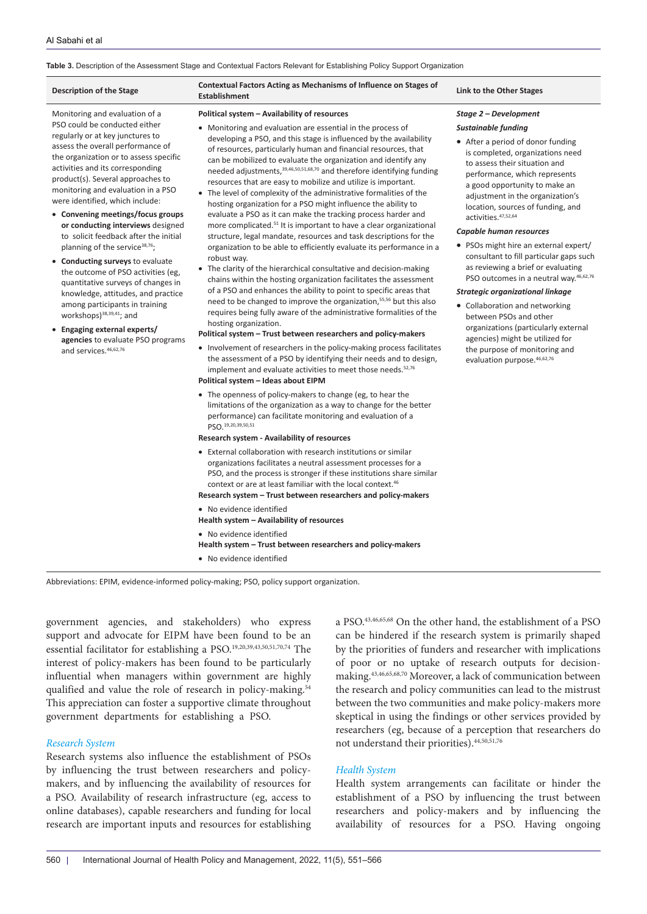## <span id="page-9-0"></span>**Table 3.** Description of the Assessment Stage and Contextual Factors Relevant for Establishing Policy Support Organization

| <b>Description of the Stage</b>                                                                                                                                                                                                                                                                                                                                                                                                                                                                                                                                                                                                                                                                                                                                                                                                      | Contextual Factors Acting as Mechanisms of Influence on Stages of<br><b>Establishment</b>                                                                                                                                                                                                                                                                                                                                                                                                                                                                                                                                                                                                                                                                                                                                                                                                                                                                                                                                                                                                                                                                                                                                                                                                                                                                                                                                                                                                                                                                                                                                                                                                                                                                                                                                                                                                                                                                                                                                                                                                                                                                                                                                                                                                                                                                                                                                                                         | Link to the Other Stages                                                                                                                                                                                                                                                                                                                                                                                                                                                                                                                                                                                                                                                                                                                                                                |
|--------------------------------------------------------------------------------------------------------------------------------------------------------------------------------------------------------------------------------------------------------------------------------------------------------------------------------------------------------------------------------------------------------------------------------------------------------------------------------------------------------------------------------------------------------------------------------------------------------------------------------------------------------------------------------------------------------------------------------------------------------------------------------------------------------------------------------------|-------------------------------------------------------------------------------------------------------------------------------------------------------------------------------------------------------------------------------------------------------------------------------------------------------------------------------------------------------------------------------------------------------------------------------------------------------------------------------------------------------------------------------------------------------------------------------------------------------------------------------------------------------------------------------------------------------------------------------------------------------------------------------------------------------------------------------------------------------------------------------------------------------------------------------------------------------------------------------------------------------------------------------------------------------------------------------------------------------------------------------------------------------------------------------------------------------------------------------------------------------------------------------------------------------------------------------------------------------------------------------------------------------------------------------------------------------------------------------------------------------------------------------------------------------------------------------------------------------------------------------------------------------------------------------------------------------------------------------------------------------------------------------------------------------------------------------------------------------------------------------------------------------------------------------------------------------------------------------------------------------------------------------------------------------------------------------------------------------------------------------------------------------------------------------------------------------------------------------------------------------------------------------------------------------------------------------------------------------------------------------------------------------------------------------------------------------------------|-----------------------------------------------------------------------------------------------------------------------------------------------------------------------------------------------------------------------------------------------------------------------------------------------------------------------------------------------------------------------------------------------------------------------------------------------------------------------------------------------------------------------------------------------------------------------------------------------------------------------------------------------------------------------------------------------------------------------------------------------------------------------------------------|
| Monitoring and evaluation of a<br>PSO could be conducted either<br>regularly or at key junctures to<br>assess the overall performance of<br>the organization or to assess specific<br>activities and its corresponding<br>product(s). Several approaches to<br>monitoring and evaluation in a PSO<br>were identified, which include:<br>• Convening meetings/focus groups<br>or conducting interviews designed<br>to solicit feedback after the initial<br>planning of the service <sup>38,76</sup> ;<br>• Conducting surveys to evaluate<br>the outcome of PSO activities (eg,<br>quantitative surveys of changes in<br>knowledge, attitudes, and practice<br>among participants in training<br>workshops) <sup>38,39,41</sup> ; and<br>• Engaging external experts/<br>agencies to evaluate PSO programs<br>and services. 46,62,76 | Political system - Availability of resources<br>• Monitoring and evaluation are essential in the process of<br>developing a PSO, and this stage is influenced by the availability<br>of resources, particularly human and financial resources, that<br>can be mobilized to evaluate the organization and identify any<br>needed adjustments, 39,46,50,51,68,70 and therefore identifying funding<br>resources that are easy to mobilize and utilize is important.<br>• The level of complexity of the administrative formalities of the<br>hosting organization for a PSO might influence the ability to<br>evaluate a PSO as it can make the tracking process harder and<br>more complicated. <sup>51</sup> It is important to have a clear organizational<br>structure, legal mandate, resources and task descriptions for the<br>organization to be able to efficiently evaluate its performance in a<br>robust way.<br>• The clarity of the hierarchical consultative and decision-making<br>chains within the hosting organization facilitates the assessment<br>of a PSO and enhances the ability to point to specific areas that<br>need to be changed to improve the organization, <sup>55,56</sup> but this also<br>requires being fully aware of the administrative formalities of the<br>hosting organization.<br>Political system - Trust between researchers and policy-makers<br>• Involvement of researchers in the policy-making process facilitates<br>the assessment of a PSO by identifying their needs and to design,<br>implement and evaluate activities to meet those needs. <sup>52,76</sup><br>Political system - Ideas about EIPM<br>• The openness of policy-makers to change (eg, to hear the<br>limitations of the organization as a way to change for the better<br>performance) can facilitate monitoring and evaluation of a<br>PSO. 19, 20, 39, 50, 51<br>Research system - Availability of resources<br>• External collaboration with research institutions or similar<br>organizations facilitates a neutral assessment processes for a<br>PSO, and the process is stronger if these institutions share similar<br>context or are at least familiar with the local context. <sup>46</sup><br>Research system - Trust between researchers and policy-makers<br>• No evidence identified<br>Health system - Availability of resources<br>• No evidence identified<br>Health system - Trust between researchers and policy-makers | Stage 2 - Development<br>Sustainable funding<br>• After a period of donor funding<br>is completed, organizations need<br>to assess their situation and<br>performance, which represents<br>a good opportunity to make an<br>adjustment in the organization's<br>location, sources of funding, and<br>activities. 47,52,64<br>Capable human resources<br>• PSOs might hire an external expert/<br>consultant to fill particular gaps such<br>as reviewing a brief or evaluating<br>PSO outcomes in a neutral way. <sup>46,62,76</sup><br><b>Strategic organizational linkage</b><br>• Collaboration and networking<br>between PSOs and other<br>organizations (particularly external<br>agencies) might be utilized for<br>the purpose of monitoring and<br>evaluation purpose. 46,62,76 |
|                                                                                                                                                                                                                                                                                                                                                                                                                                                                                                                                                                                                                                                                                                                                                                                                                                      | • No evidence identified                                                                                                                                                                                                                                                                                                                                                                                                                                                                                                                                                                                                                                                                                                                                                                                                                                                                                                                                                                                                                                                                                                                                                                                                                                                                                                                                                                                                                                                                                                                                                                                                                                                                                                                                                                                                                                                                                                                                                                                                                                                                                                                                                                                                                                                                                                                                                                                                                                          |                                                                                                                                                                                                                                                                                                                                                                                                                                                                                                                                                                                                                                                                                                                                                                                         |

Abbreviations: EPIM, evidence-informed policy-making; PSO, policy support organization.

government agencies, and stakeholders) who express support and advocate for EIPM have been found to be an essential facilitator for establishing a PSO.19,20,39,43,50,51,70,74 The interest of policy-makers has been found to be particularly influential when managers within government are highly qualified and value the role of research in policy-making.<sup>54</sup> This appreciation can foster a supportive climate throughout government departments for establishing a PSO.

# *Research System*

Research systems also influence the establishment of PSOs by influencing the trust between researchers and policymakers, and by influencing the availability of resources for a PSO. Availability of research infrastructure (eg, access to online databases), capable researchers and funding for local research are important inputs and resources for establishing

a PSO.43,46,65,68 On the other hand, the establishment of a PSO can be hindered if the research system is primarily shaped by the priorities of funders and researcher with implications of poor or no uptake of research outputs for decisionmaking.43,46,65,68,70 Moreover, a lack of communication between the research and policy communities can lead to the mistrust between the two communities and make policy-makers more skeptical in using the findings or other services provided by researchers (eg, because of a perception that researchers do not understand their priorities).44,50,51,76

## *Health System*

Health system arrangements can facilitate or hinder the establishment of a PSO by influencing the trust between researchers and policy-makers and by influencing the availability of resources for a PSO. Having ongoing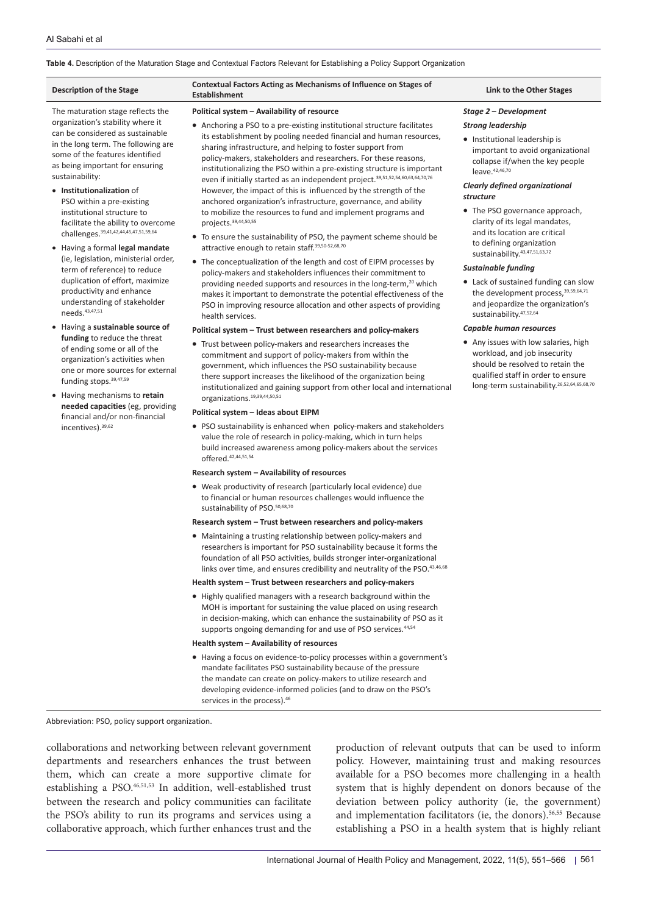## <span id="page-10-0"></span>**Table 4.** Description of the Maturation Stage and Contextual Factors Relevant for Establishing a Policy Support Organization

## The maturation stage reflects the organization's stability where it can be considered as sustainable in the long term. The following are some of the features identified as being important for ensuring sustainability:

- • **Institutionalization** of PSO within a pre-existing institutional structure to facilitate the ability to overcome challenges.39,41,42,44,45,47,51,59,64
- • Having a formal **legal mandate**  (ie, legislation, ministerial order, term of reference) to reduce duplication of effort, maximize productivity and enhance understanding of stakeholder needs.43,47,51
- • Having a **sustainable source of funding** to reduce the threat of ending some or all of the organization's activities when one or more sources for external funding stops.<sup>39,47,59</sup>
- • Having mechanisms to **retain needed capacities** (eg, providing financial and/or non-financial incentives).39,62

# **Description of the Stage Contextual Factors Acting as Mechanisms of Influence on Stages of**

#### **Political system – Availability of resource**

- Anchoring a PSO to a pre-existing institutional structure facilitates its establishment by pooling needed financial and human resources, sharing infrastructure, and helping to foster support from policy-makers, stakeholders and researchers. For these reasons, institutionalizing the PSO within a pre-existing structure is important even if initially started as an independent project.<sup>39,51,52,54,60,63,64,70,76</sup> However, the impact of this is influenced by the strength of the anchored organization's infrastructure, governance, and ability to mobilize the resources to fund and implement programs and projects.39,44,50,55
- To ensure the sustainability of PSO, the payment scheme should be attractive enough to retain staff.39,50-52,68,70
- The conceptualization of the length and cost of EIPM processes by policy-makers and stakeholders influences their commitment to providing needed supports and resources in the long-term,<sup>20</sup> which makes it important to demonstrate the potential effectiveness of the PSO in improving resource allocation and other aspects of providing health services.

#### **Political system – Trust between researchers and policy-makers**

• Trust between policy-makers and researchers increases the commitment and support of policy-makers from within the government, which influences the PSO sustainability because there support increases the likelihood of the organization being institutionalized and gaining support from other local and international organizations.19,39,44,50,51

#### **Political system – Ideas about EIPM**

PSO sustainability is enhanced when policy-makers and stakeholders value the role of research in policy-making, which in turn helps build increased awareness among policy-makers about the services offered.42,44,51,54

## **Research system – Availability of resources**

• Weak productivity of research (particularly local evidence) due to financial or human resources challenges would influence the sustainability of PSO.<sup>50,68,70</sup>

#### **Research system – Trust between researchers and policy-makers**

• Maintaining a trusting relationship between policy-makers and researchers is important for PSO sustainability because it forms the foundation of all PSO activities, builds stronger inter-organizational links over time, and ensures credibility and neutrality of the PSO.43,46,68

## **Health system – Trust between researchers and policy-makers**

• Highly qualified managers with a research background within the MOH is important for sustaining the value placed on using research in decision-making, which can enhance the sustainability of PSO as it supports ongoing demanding for and use of PSO services.<sup>44,54</sup>

#### **Health system – Availability of resources**

• Having a focus on evidence-to-policy processes within a government's mandate facilitates PSO sustainability because of the pressure the mandate can create on policy-makers to utilize research and developing evidence-informed policies (and to draw on the PSO's services in the process).<sup>46</sup>

#### **Link to the Other Stages**

## *Stage 2 – Development*

#### *Strong leadership*

• Institutional leadership is important to avoid organizational collapse if/when the key people  $leave.<sup>42,46,70</sup>$ 

## *Clearly defined organizational structure*

• The PSO governance approach, clarity of its legal mandates, and its location are critical to defining organization sustainability.43,47,51,63,72

## *Sustainable funding*

• Lack of sustained funding can slow the development process.<sup>39,59,64,71</sup> and jeopardize the organization's sustainability.47,52,64

#### *Capable human resources*

• Any issues with low salaries, high workload, and job insecurity should be resolved to retain the qualified staff in order to ensure long-term sustainability.<sup>26,52,64,65,68,70</sup>

Abbreviation: PSO, policy support organization.

collaborations and networking between relevant government departments and researchers enhances the trust between them, which can create a more supportive climate for establishing a PSO.<sup>46,51,53</sup> In addition, well-established trust between the research and policy communities can facilitate the PSO's ability to run its programs and services using a collaborative approach, which further enhances trust and the production of relevant outputs that can be used to inform policy. However, maintaining trust and making resources available for a PSO becomes more challenging in a health system that is highly dependent on donors because of the deviation between policy authority (ie, the government) and implementation facilitators (ie, the donors).56,55 Because establishing a PSO in a health system that is highly reliant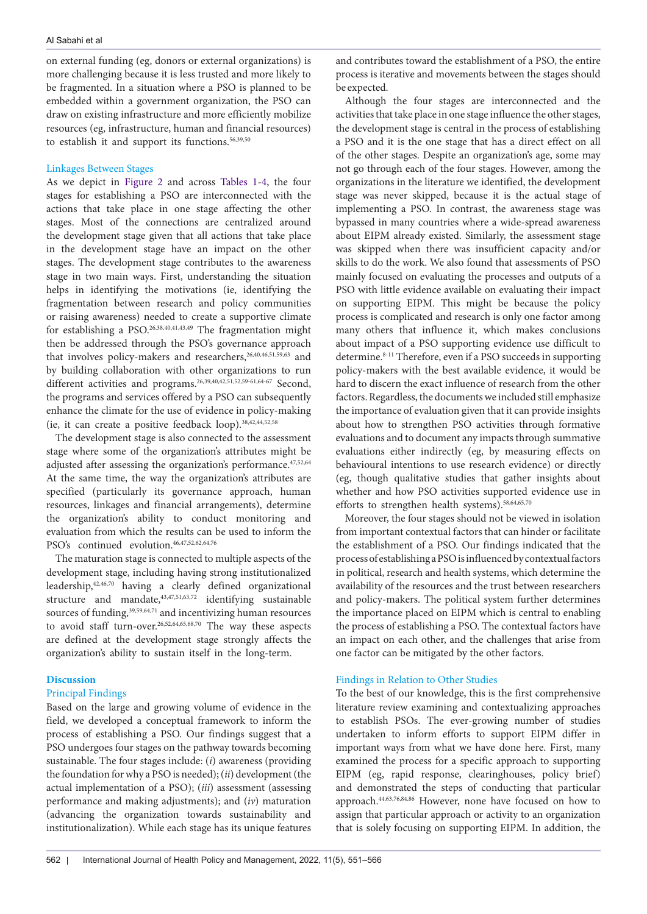on external funding (eg, donors or external organizations) is more challenging because it is less trusted and more likely to be fragmented. In a situation where a PSO is planned to be embedded within a government organization, the PSO can draw on existing infrastructure and more efficiently mobilize resources (eg, infrastructure, human and financial resources) to establish it and support its functions.<sup>56,39,50</sup>

## Linkages Between Stages

As we depict in [Figure 2](#page-4-0) and across [Tables 1](#page-5-0)-[4,](#page-10-0) the four stages for establishing a PSO are interconnected with the actions that take place in one stage affecting the other stages. Most of the connections are centralized around the development stage given that all actions that take place in the development stage have an impact on the other stages. The development stage contributes to the awareness stage in two main ways. First, understanding the situation helps in identifying the motivations (ie, identifying the fragmentation between research and policy communities or raising awareness) needed to create a supportive climate for establishing a PSO.26,38,40,41,43,49 The fragmentation might then be addressed through the PSO's governance approach that involves policy-makers and researchers,<sup>26,40,46,51,59,63</sup> and by building collaboration with other organizations to run different activities and programs.<sup>26,39,40,42,51,52,59-61,64-67</sup> Second, the programs and services offered by a PSO can subsequently enhance the climate for the use of evidence in policy-making (ie, it can create a positive feedback loop).38,42,44,52,58

The development stage is also connected to the assessment stage where some of the organization's attributes might be adjusted after assessing the organization's performance.47,52,64 At the same time, the way the organization's attributes are specified (particularly its governance approach, human resources, linkages and financial arrangements), determine the organization's ability to conduct monitoring and evaluation from which the results can be used to inform the PSO's continued evolution.46,47,52,62,64,76

The maturation stage is connected to multiple aspects of the development stage, including having strong institutionalized leadership,42,46,70 having a clearly defined organizational structure and mandate,43,47,51,63,72 identifying sustainable sources of funding,<sup>39,59,64,71</sup> and incentivizing human resources to avoid staff turn-over.26,52,64,65,68,70 The way these aspects are defined at the development stage strongly affects the organization's ability to sustain itself in the long-term.

## **Discussion**

# Principal Findings

Based on the large and growing volume of evidence in the field, we developed a conceptual framework to inform the process of establishing a PSO. Our findings suggest that a PSO undergoes four stages on the pathway towards becoming sustainable. The four stages include: (*i*) awareness (providing the foundation for why a PSO is needed); (*ii*) development (the actual implementation of a PSO); (*iii*) assessment (assessing performance and making adjustments); and (*iv*) maturation (advancing the organization towards sustainability and institutionalization). While each stage has its unique features and contributes toward the establishment of a PSO, the entire process is iterative and movements between the stages should be expected.

Although the four stages are interconnected and the activities that take place in one stage influence the other stages, the development stage is central in the process of establishing a PSO and it is the one stage that has a direct effect on all of the other stages. Despite an organization's age, some may not go through each of the four stages. However, among the organizations in the literature we identified, the development stage was never skipped, because it is the actual stage of implementing a PSO. In contrast, the awareness stage was bypassed in many countries where a wide-spread awareness about EIPM already existed. Similarly, the assessment stage was skipped when there was insufficient capacity and/or skills to do the work. We also found that assessments of PSO mainly focused on evaluating the processes and outputs of a PSO with little evidence available on evaluating their impact on supporting EIPM. This might be because the policy process is complicated and research is only one factor among many others that influence it, which makes conclusions about impact of a PSO supporting evidence use difficult to determine.<sup>8-11</sup> Therefore, even if a PSO succeeds in supporting policy-makers with the best available evidence, it would be hard to discern the exact influence of research from the other factors. Regardless, the documents we included still emphasize the importance of evaluation given that it can provide insights about how to strengthen PSO activities through formative evaluations and to document any impacts through summative evaluations either indirectly (eg, by measuring effects on behavioural intentions to use research evidence) or directly (eg, though qualitative studies that gather insights about whether and how PSO activities supported evidence use in efforts to strengthen health systems).<sup>58,64,65,70</sup>

Moreover, the four stages should not be viewed in isolation from important contextual factors that can hinder or facilitate the establishment of a PSO. Our findings indicated that the process of establishing a PSO is influenced by contextual factors in political, research and health systems, which determine the availability of the resources and the trust between researchers and policy-makers. The political system further determines the importance placed on EIPM which is central to enabling the process of establishing a PSO. The contextual factors have an impact on each other, and the challenges that arise from one factor can be mitigated by the other factors.

# Findings in Relation to Other Studies

To the best of our knowledge, this is the first comprehensive literature review examining and contextualizing approaches to establish PSOs. The ever-growing number of studies undertaken to inform efforts to support EIPM differ in important ways from what we have done here. First, many examined the process for a specific approach to supporting EIPM (eg, rapid response, clearinghouses, policy brief) and demonstrated the steps of conducting that particular approach.44,63,76,84,86 However, none have focused on how to assign that particular approach or activity to an organization that is solely focusing on supporting EIPM. In addition, the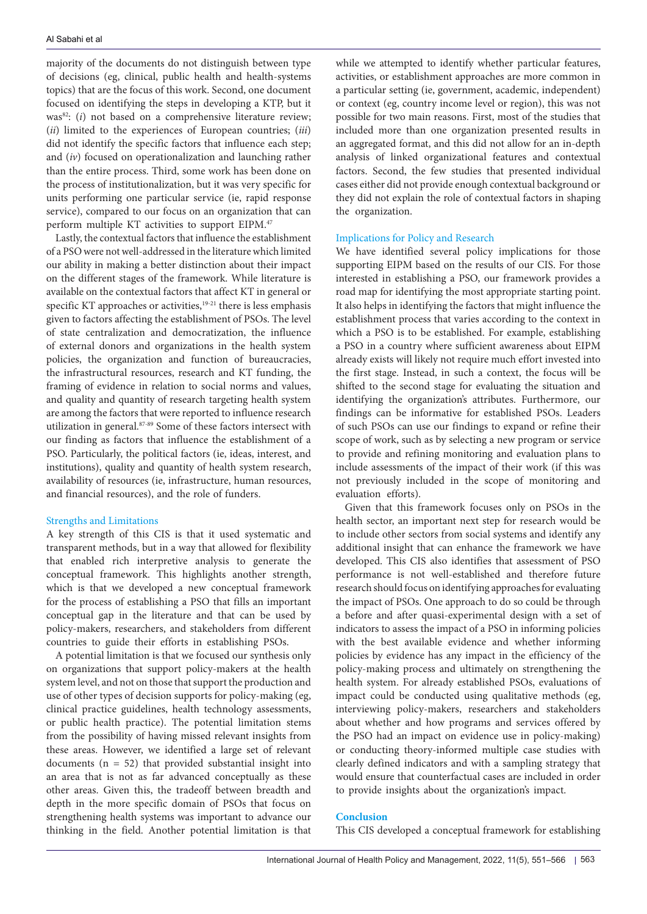majority of the documents do not distinguish between type of decisions (eg, clinical, public health and health-systems topics) that are the focus of this work. Second, one document focused on identifying the steps in developing a KTP, but it was<sup>82</sup>: (*i*) not based on a comprehensive literature review; (*ii*) limited to the experiences of European countries; (*iii*) did not identify the specific factors that influence each step; and (*iv*) focused on operationalization and launching rather than the entire process. Third, some work has been done on the process of institutionalization, but it was very specific for units performing one particular service (ie, rapid response service), compared to our focus on an organization that can perform multiple KT activities to support EIPM.47

Lastly, the contextual factors that influence the establishment of a PSO were not well-addressed in the literature which limited our ability in making a better distinction about their impact on the different stages of the framework. While literature is available on the contextual factors that affect KT in general or specific KT approaches or activities, $19-21$  there is less emphasis given to factors affecting the establishment of PSOs. The level of state centralization and democratization, the influence of external donors and organizations in the health system policies, the organization and function of bureaucracies, the infrastructural resources, research and KT funding, the framing of evidence in relation to social norms and values, and quality and quantity of research targeting health system are among the factors that were reported to influence research utilization in general.87-89 Some of these factors intersect with our finding as factors that influence the establishment of a PSO. Particularly, the political factors (ie, ideas, interest, and institutions), quality and quantity of health system research, availability of resources (ie, infrastructure, human resources, and financial resources), and the role of funders.

## Strengths and Limitations

A key strength of this CIS is that it used systematic and transparent methods, but in a way that allowed for flexibility that enabled rich interpretive analysis to generate the conceptual framework. This highlights another strength, which is that we developed a new conceptual framework for the process of establishing a PSO that fills an important conceptual gap in the literature and that can be used by policy-makers, researchers, and stakeholders from different countries to guide their efforts in establishing PSOs.

A potential limitation is that we focused our synthesis only on organizations that support policy-makers at the health system level, and not on those that support the production and use of other types of decision supports for policy-making (eg, clinical practice guidelines, health technology assessments, or public health practice). The potential limitation stems from the possibility of having missed relevant insights from these areas. However, we identified a large set of relevant documents ( $n = 52$ ) that provided substantial insight into an area that is not as far advanced conceptually as these other areas. Given this, the tradeoff between breadth and depth in the more specific domain of PSOs that focus on strengthening health systems was important to advance our thinking in the field. Another potential limitation is that

while we attempted to identify whether particular features, activities, or establishment approaches are more common in a particular setting (ie, government, academic, independent) or context (eg, country income level or region), this was not possible for two main reasons. First, most of the studies that included more than one organization presented results in an aggregated format, and this did not allow for an in-depth analysis of linked organizational features and contextual factors. Second, the few studies that presented individual cases either did not provide enough contextual background or they did not explain the role of contextual factors in shaping the organization.

# Implications for Policy and Research

We have identified several policy implications for those supporting EIPM based on the results of our CIS. For those interested in establishing a PSO, our framework provides a road map for identifying the most appropriate starting point. It also helps in identifying the factors that might influence the establishment process that varies according to the context in which a PSO is to be established. For example, establishing a PSO in a country where sufficient awareness about EIPM already exists will likely not require much effort invested into the first stage. Instead, in such a context, the focus will be shifted to the second stage for evaluating the situation and identifying the organization's attributes. Furthermore, our findings can be informative for established PSOs. Leaders of such PSOs can use our findings to expand or refine their scope of work, such as by selecting a new program or service to provide and refining monitoring and evaluation plans to include assessments of the impact of their work (if this was not previously included in the scope of monitoring and evaluation efforts).

Given that this framework focuses only on PSOs in the health sector, an important next step for research would be to include other sectors from social systems and identify any additional insight that can enhance the framework we have developed. This CIS also identifies that assessment of PSO performance is not well-established and therefore future research should focus on identifying approaches for evaluating the impact of PSOs. One approach to do so could be through a before and after quasi-experimental design with a set of indicators to assess the impact of a PSO in informing policies with the best available evidence and whether informing policies by evidence has any impact in the efficiency of the policy-making process and ultimately on strengthening the health system. For already established PSOs, evaluations of impact could be conducted using qualitative methods (eg, interviewing policy-makers, researchers and stakeholders about whether and how programs and services offered by the PSO had an impact on evidence use in policy-making) or conducting theory-informed multiple case studies with clearly defined indicators and with a sampling strategy that would ensure that counterfactual cases are included in order to provide insights about the organization's impact.

## **Conclusion**

This CIS developed a conceptual framework for establishing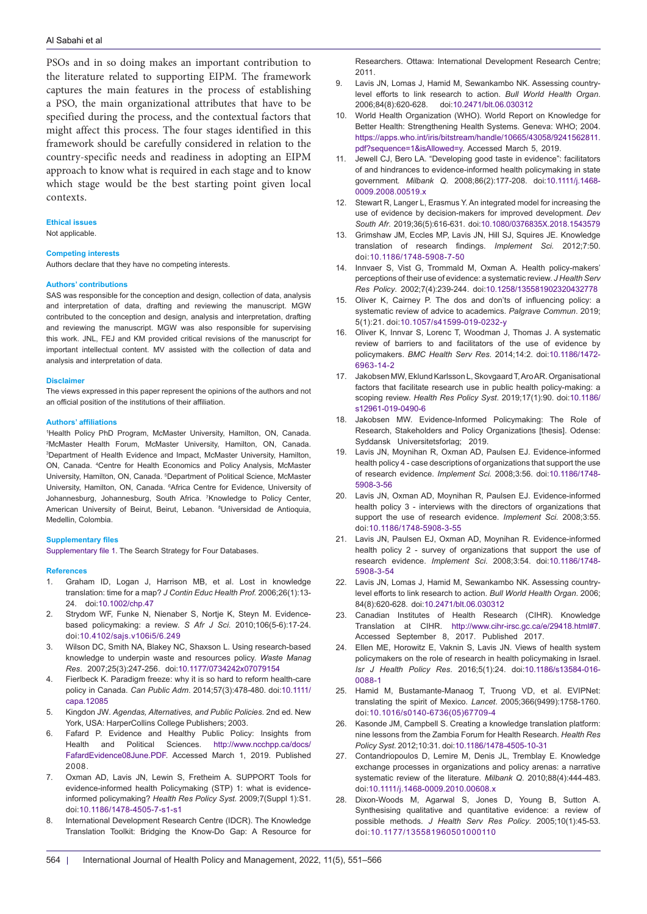PSOs and in so doing makes an important contribution to the literature related to supporting EIPM. The framework captures the main features in the process of establishing a PSO, the main organizational attributes that have to be specified during the process, and the contextual factors that might affect this process. The four stages identified in this framework should be carefully considered in relation to the country-specific needs and readiness in adopting an EIPM approach to know what is required in each stage and to know which stage would be the best starting point given local contexts.

## **Ethical issues**

Not applicable.

## **Competing interests**

Authors declare that they have no competing interests.

#### **Authors' contributions**

SAS was responsible for the conception and design, collection of data, analysis and interpretation of data, drafting and reviewing the manuscript. MGW contributed to the conception and design, analysis and interpretation, drafting and reviewing the manuscript. MGW was also responsible for supervising this work. JNL, FEJ and KM provided critical revisions of the manuscript for important intellectual content. MV assisted with the collection of data and analysis and interpretation of data.

#### **Disclaimer**

The views expressed in this paper represent the opinions of the authors and not an official position of the institutions of their affiliation.

#### **Authors' affiliations**

1 Health Policy PhD Program, McMaster University, Hamilton, ON, Canada. 2 McMaster Health Forum, McMaster University, Hamilton, ON, Canada. 3 Department of Health Evidence and Impact, McMaster University, Hamilton, ON, Canada. 4 Centre for Health Economics and Policy Analysis, McMaster University, Hamilton, ON, Canada. <sup>5</sup>Department of Political Science, McMaster University, Hamilton, ON, Canada. <sup>6</sup>Africa Centre for Evidence, University of Johannesburg, Johannesburg, South Africa. 7 Knowledge to Policy Center, American University of Beirut, Beirut, Lebanon. 8 Universidad de Antioquia, Medellin, Colombia.

## **Supplementary files**

<span id="page-13-0"></span>[Supplementary file 1](https://www.ijhpm.com/jufile?ar_sfile=44150). The Search Strategy for Four Databases.

#### **References**

- 1. Graham ID, Logan J, Harrison MB, et al. Lost in knowledge translation: time for a map? *J Contin Educ Health Prof.* 2006;26(1):13- 24. doi:[10.1002/chp.47](https://doi.org/10.1002/chp.47)
- 2. Strydom WF, Funke N, Nienaber S, Nortje K, Steyn M. Evidencebased policymaking: a review. *S Afr J Sci*. 2010;106(5-6):17-24. doi[:10.4102/sajs.v106i5/6.249](https://doi.org/10.4102/sajs.v106i5/6.249)
- 3. Wilson DC, Smith NA, Blakey NC, Shaxson L. Using research-based knowledge to underpin waste and resources policy. *Waste Manag Res*. 2007;25(3):247-256. doi[:10.1177/0734242x07079154](https://doi.org/10.1177/0734242x07079154)
- 4. Fierlbeck K. Paradigm freeze: why it is so hard to reform health-care policy in Canada. *Can Public Adm*. 2014;57(3):478-480. doi[:10.1111/](https://doi.org/10.1111/capa.12085) [capa.12085](https://doi.org/10.1111/capa.12085)
- 5. Kingdon JW*. Agendas, Alternatives, and Public Policies*. 2nd ed. New York, USA: HarperCollins College Publishers; 2003.
- 6. Fafard P. Evidence and Healthy Public Policy: Insights from Health and Political Sciences. [http://www.ncchpp.ca/docs/](http://www.ncchpp.ca/docs/FafardEvidence08June.PDF) [FafardEvidence08June.PDF.](http://www.ncchpp.ca/docs/FafardEvidence08June.PDF) Accessed March 1, 2019. Published 2008.
- 7. Oxman AD, Lavis JN, Lewin S, Fretheim A. SUPPORT Tools for evidence-informed health Policymaking (STP) 1: what is evidenceinformed policymaking? *Health Res Policy Syst.* 2009;7(Suppl 1):S1. doi:[10.1186/1478-4505-7-s1-s1](https://doi.org/10.1186/1478-4505-7-s1-s1)
- 8. International Development Research Centre (IDCR). The Knowledge Translation Toolkit: Bridging the Know-Do Gap: A Resource for

Researchers. Ottawa: International Development Research Centre; 2011.

- 9. Lavis JN, Lomas J, Hamid M, Sewankambo NK. Assessing countrylevel efforts to link research to action. *Bull World Health Organ*. 2006;84(8):620-628. doi:[10.2471/blt.06.030312](https://doi.org/10.2471/blt.06.030312)
- 10. World Health Organization (WHO). World Report on Knowledge for Better Health: Strengthening Health Systems. Geneva: WHO; 2004. [https://apps.who.int/iris/bitstream/handle/10665/43058/9241562811.](https://apps.who.int/iris/bitstream/handle/10665/43058/9241562811.pdf?sequence=1&isAllowed=y) [pdf?sequence=1&isAllowed=y.](https://apps.who.int/iris/bitstream/handle/10665/43058/9241562811.pdf?sequence=1&isAllowed=y) Accessed March 5, 2019.
- 11. Jewell CJ, Bero LA. "Developing good taste in evidence": facilitators of and hindrances to evidence-informed health policymaking in state government*. Milbank Q*. 2008;86(2):177-208. doi:[10.1111/j.1468-](https://doi.org/10.1111/j.1468-0009.2008.00519.x) [0009.2008.00519.x](https://doi.org/10.1111/j.1468-0009.2008.00519.x)
- 12. Stewart R, Langer L, Erasmus Y. An integrated model for increasing the use of evidence by decision-makers for improved development. *Dev South Afr*. 2019;36(5):616-631. doi:[10.1080/0376835X.2018.1543579](https://doi.org/10.1080/0376835X.2018.1543579)
- 13. Grimshaw JM, Eccles MP, Lavis JN, Hill SJ, Squires JE. Knowledge translation of research findings. *Implement Sci.* 2012;7:50. doi[:10.1186/1748-5908-7-50](https://doi.org/10.1186/1748-5908-7-50)
- 14. Innvaer S, Vist G, Trommald M, Oxman A. Health policy-makers' perceptions of their use of evidence: a systematic review. *J Health Serv Res Policy*. 2002;7(4):239-244. doi[:10.1258/135581902320432778](https://doi.org/10.1258/135581902320432778)
- 15. Oliver K, Cairney P. The dos and don'ts of influencing policy: a systematic review of advice to academics. *Palgrave Commun*. 2019; 5(1):21. doi:[10.1057/s41599-019-0232-y](https://doi.org/10.1057/s41599-019-0232-y)
- 16. Oliver K, Innvar S, Lorenc T, Woodman J, Thomas J. A systematic review of barriers to and facilitators of the use of evidence by policymakers. *BMC Health Serv Res*. 2014;14:2. doi:[10.1186/1472-](https://doi.org/10.1186/1472-6963-14-2) [6963-14-2](https://doi.org/10.1186/1472-6963-14-2)
- 17. Jakobsen MW, Eklund Karlsson L, Skovgaard T, Aro AR. Organisational factors that facilitate research use in public health policy-making: a scoping review. *Health Res Policy Syst*. 2019;17(1):90. doi[:10.1186/](https://doi.org/10.1186/s12961-019-0490-6) [s12961-019-0490-6](https://doi.org/10.1186/s12961-019-0490-6)
- 18. Jakobsen MW. Evidence-Informed Policymaking: The Role of Research, Stakeholders and Policy Organizations [thesis]. Odense: Syddansk Universitetsforlag; 2019.
- 19. Lavis JN, Moynihan R, Oxman AD, Paulsen EJ. Evidence-informed health policy 4 - case descriptions of organizations that support the use of research evidence. *Implement Sci.* 2008;3:56. doi:[10.1186/1748-](https://doi.org/10.1186/1748-5908-3-56) [5908-3-56](https://doi.org/10.1186/1748-5908-3-56)
- 20. Lavis JN, Oxman AD, Moynihan R, Paulsen EJ. Evidence-informed health policy 3 - interviews with the directors of organizations that support the use of research evidence. *Implement Sci.* 2008;3:55. doi:[10.1186/1748-5908-3-55](https://doi.org/10.1186/1748-5908-3-55)
- 21. Lavis JN, Paulsen EJ, Oxman AD, Moynihan R. Evidence-informed health policy 2 - survey of organizations that support the use of research evidence. *Implement Sci*. 2008;3:54. doi:[10.1186/1748-](https://doi.org/10.1186/1748-5908-3-54) [5908-3-54](https://doi.org/10.1186/1748-5908-3-54)
- 22. Lavis JN, Lomas J, Hamid M, Sewankambo NK. Assessing countrylevel efforts to link research to action. *Bull World Health Organ*. 2006; 84(8):620-628. doi:[10.2471/blt.06.030312](https://doi.org/10.2471/blt.06.030312)
- 23. Canadian Institutes of Health Research (CIHR). Knowledge Translation at CIHR. [http://www.cihr-irsc.gc.ca/e/29418.html#7.](http://www.cihr-irsc.gc.ca/e/29418.html#7) Accessed September 8, 2017. Published 2017.
- 24. Ellen ME, Horowitz E, Vaknin S, Lavis JN. Views of health system policymakers on the role of research in health policymaking in Israel. *Isr J Health Policy Res*. 2016;5(1):24. doi:[10.1186/s13584-016-](https://doi.org/10.1186/s13584-016-0088-1) [0088-1](https://doi.org/10.1186/s13584-016-0088-1)
- 25. Hamid M, Bustamante-Manaog T, Truong VD, et al. EVIPNet: translating the spirit of Mexico. *Lancet*. 2005;366(9499):1758-1760. doi:[10.1016/s0140-6736\(05\)67709-4](https://doi.org/10.1016/s0140-6736(05)67709-4)
- 26. Kasonde JM, Campbell S. Creating a knowledge translation platform: nine lessons from the Zambia Forum for Health Research. *Health Res Policy Syst*. 2012;10:31. doi:[10.1186/1478-4505-10-31](https://doi.org/10.1186/1478-4505-10-31)
- 27. Contandriopoulos D, Lemire M, Denis JL, Tremblay E. Knowledge exchange processes in organizations and policy arenas: a narrative systematic review of the literature. *Milbank Q*. 2010;88(4):444-483. doi[:10.1111/j.1468-0009.2010.00608.x](https://doi.org/10.1111/j.1468-0009.2010.00608.x)
- 28. Dixon-Woods M, Agarwal S, Jones D, Young B, Sutton A. Synthesising qualitative and quantitative evidence: a review of possible methods. *J Health Serv Res Policy*. 2005;10(1):45-53. doi:[10.1177/135581960501000110](https://doi.org/10.1177/135581960501000110)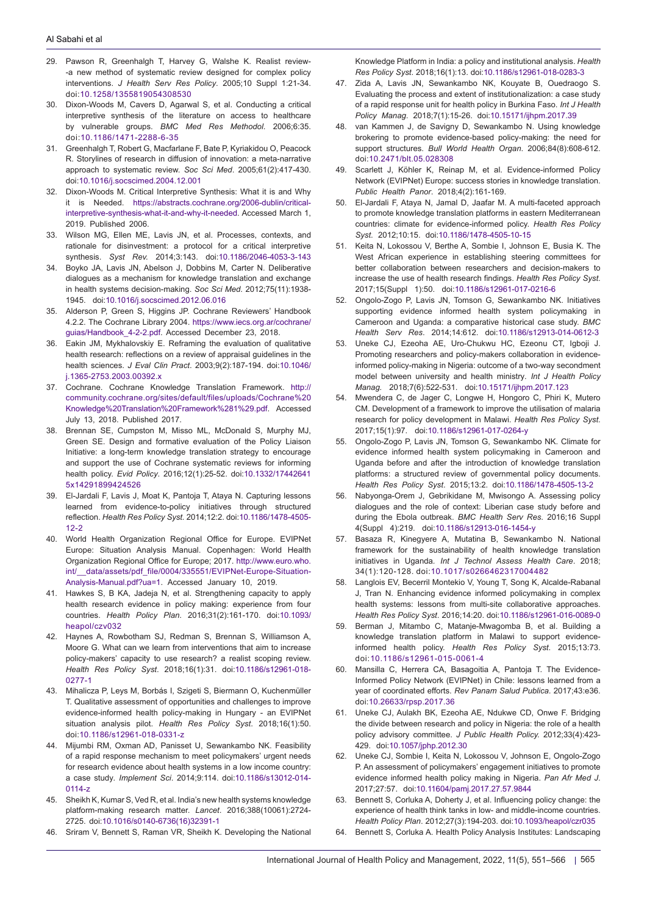- 29. Pawson R, Greenhalgh T, Harvey G, Walshe K. Realist review- -a new method of systematic review designed for complex policy interventions. *J Health Serv Res Policy*. 2005;10 Suppl 1:21-34. doi:[10.1258/1355819054308530](https://doi.org/10.1258/1355819054308530)
- 30. Dixon-Woods M, Cavers D, Agarwal S, et al. Conducting a critical interpretive synthesis of the literature on access to healthcare by vulnerable groups. *BMC Med Res Methodol*. 2006;6:35. doi:[10.1186/1471-2288-6-35](https://doi.org/10.1186/1471-2288-6-35)
- 31. Greenhalgh T, Robert G, Macfarlane F, Bate P, Kyriakidou O, Peacock R. Storylines of research in diffusion of innovation: a meta-narrative approach to systematic review. *Soc Sci Med*. 2005;61(2):417-430. doi:[10.1016/j.socscimed.2004.12.001](https://doi.org/10.1016/j.socscimed.2004.12.001)
- Dixon-Woods M. Critical Interpretive Synthesis: What it is and Why it is Needed. [https://abstracts.cochrane.org/2006-dublin/critical](https://abstracts.cochrane.org/2006-dublin/critical-interpretive-synthesis-what-it-and-why-it-needed)[interpretive-synthesis-what-it-and-why-it-needed](https://abstracts.cochrane.org/2006-dublin/critical-interpretive-synthesis-what-it-and-why-it-needed). Accessed March 1, 2019. Published 2006.
- 33. Wilson MG, Ellen ME, Lavis JN, et al. Processes, contexts, and rationale for disinvestment: a protocol for a critical interpretive synthesis. *Syst Rev.* 2014;3:143. doi[:10.1186/2046-4053-3-143](https://doi.org/10.1186/2046-4053-3-143)
- 34. Boyko JA, Lavis JN, Abelson J, Dobbins M, Carter N. Deliberative dialogues as a mechanism for knowledge translation and exchange in health systems decision-making. *Soc Sci Med.* 2012;75(11):1938- 1945. doi[:10.1016/j.socscimed.2012.06.016](https://doi.org/10.1016/j.socscimed.2012.06.016)
- 35. Alderson P, Green S, Higgins JP. Cochrane Reviewers' Handbook 4.2.2. The Cochrane Library 2004. [https://www.iecs.org.ar/cochrane/](https://www.iecs.org.ar/cochrane/guias/Handbook_4-2-2.pdf) [guias/Handbook\\_4-2-2.pdf.](https://www.iecs.org.ar/cochrane/guias/Handbook_4-2-2.pdf) Accessed December 23, 2018.
- 36. Eakin JM, Mykhalovskiy E. Reframing the evaluation of qualitative health research: reflections on a review of appraisal guidelines in the health sciences. *J Eval Clin Pract*. 2003;9(2):187-194. doi[:10.1046/](https://doi.org/10.1046/j.1365-2753.2003.00392.x) [j.1365-2753.2003.00392.x](https://doi.org/10.1046/j.1365-2753.2003.00392.x)
- 37. Cochrane. Cochrane Knowledge Translation Framework. [http://](http://community.cochrane.org/sites/default/files/uploads/Cochrane Knowledge Translation Framework%281%29.pdf) [community.cochrane.org/sites/default/files/uploads/Cochrane%20](http://community.cochrane.org/sites/default/files/uploads/Cochrane Knowledge Translation Framework%281%29.pdf) [Knowledge%20Translation%20Framework%281%29.pdf](http://community.cochrane.org/sites/default/files/uploads/Cochrane Knowledge Translation Framework%281%29.pdf). Accessed July 13, 2018. Published 2017.
- 38. Brennan SE, Cumpston M, Misso ML, McDonald S, Murphy MJ, Green SE. Design and formative evaluation of the Policy Liaison Initiative: a long-term knowledge translation strategy to encourage and support the use of Cochrane systematic reviews for informing health policy. *Evid Policy*. 2016;12(1):25-52. doi:[10.1332/17442641](https://doi.org/10.1332/174426415x14291899424526) [5x14291899424526](https://doi.org/10.1332/174426415x14291899424526)
- 39. El-Jardali F, Lavis J, Moat K, Pantoja T, Ataya N. Capturing lessons learned from evidence-to-policy initiatives through structured reflection. *Health Res Policy Syst.* 2014;12:2. doi[:10.1186/1478-4505-](https://doi.org/10.1186/1478-4505-12-2) [12-2](https://doi.org/10.1186/1478-4505-12-2)
- 40. World Health Organization Regional Office for Europe. EVIPNet Europe: Situation Analysis Manual. Copenhagen: World Health Organization Regional Office for Europe; 2017. [http://www.euro.who.](http://www.euro.who.int/__data/assets/pdf_file/0004/335551/EVIPNet-Europe-Situation-Analysis-Manual.pdf?ua=1) [int/\\_\\_data/assets/pdf\\_file/0004/335551/EVIPNet-Europe-Situation-](http://www.euro.who.int/__data/assets/pdf_file/0004/335551/EVIPNet-Europe-Situation-Analysis-Manual.pdf?ua=1)[Analysis-Manual.pdf?ua=1.](http://www.euro.who.int/__data/assets/pdf_file/0004/335551/EVIPNet-Europe-Situation-Analysis-Manual.pdf?ua=1) Accessed January 10, 2019.
- 41. Hawkes S, B KA, Jadeja N, et al. Strengthening capacity to apply health research evidence in policy making: experience from four countries. *Health Policy Plan*. 2016;31(2):161-170. doi[:10.1093/](https://doi.org/10.1093/heapol/czv032) [heapol/czv032](https://doi.org/10.1093/heapol/czv032)
- 42. Haynes A, Rowbotham SJ, Redman S, Brennan S, Williamson A, Moore G. What can we learn from interventions that aim to increase policy-makers' capacity to use research? a realist scoping review. *Health Res Policy Syst*. 2018;16(1):31. doi[:10.1186/s12961-018-](https://doi.org/10.1186/s12961-018-0277-1) [0277-1](https://doi.org/10.1186/s12961-018-0277-1)
- 43. Mihalicza P, Leys M, Borbás I, Szigeti S, Biermann O, Kuchenmüller T. Qualitative assessment of opportunities and challenges to improve evidence-informed health policy-making in Hungary - an EVIPNet situation analysis pilot. *Health Res Policy Syst*. 2018;16(1):50. doi:[10.1186/s12961-018-0331-z](https://doi.org/10.1186/s12961-018-0331-z)
- 44. Mijumbi RM, Oxman AD, Panisset U, Sewankambo NK. Feasibility of a rapid response mechanism to meet policymakers' urgent needs for research evidence about health systems in a low income country: a case study*. Implement Sci*. 2014;9:114. doi[:10.1186/s13012-014-](https://doi.org/10.1186/s13012-014-0114-z) [0114-z](https://doi.org/10.1186/s13012-014-0114-z)
- 45. Sheikh K, Kumar S, Ved R, et al. India's new health systems knowledge platform-making research matter. *Lancet*. 2016;388(10061):2724- 2725. doi[:10.1016/s0140-6736\(16\)32391-1](https://doi.org/10.1016/s0140-6736(16)32391-1)
- 46. Sriram V, Bennett S, Raman VR, Sheikh K. Developing the National

Knowledge Platform in India: a policy and institutional analysis. *Health Res Policy Syst*. 2018;16(1):13. doi[:10.1186/s12961-018-0283-3](https://doi.org/10.1186/s12961-018-0283-3)

- 47. Zida A, Lavis JN, Sewankambo NK, Kouyate B, Ouedraogo S. Evaluating the process and extent of institutionalization: a case study of a rapid response unit for health policy in Burkina Faso. *Int J Health Policy Manag*. 2018;7(1):15-26. doi[:10.15171/ijhpm.2017.39](https://doi.org/10.15171/ijhpm.2017.39)
- 48. van Kammen J, de Savigny D, Sewankambo N. Using knowledge brokering to promote evidence-based policy-making: the need for support structures. *Bull World Health Organ*. 2006;84(8):608-612. doi:[10.2471/blt.05.028308](https://doi.org/10.2471/blt.05.028308)
- 49. Scarlett J, Köhler K, Reinap M, et al. Evidence-informed Policy Network (EVIPNet) Europe: success stories in knowledge translation. *Public Health Panor*. 2018;4(2):161-169.
- 50. El-Jardali F, Ataya N, Jamal D, Jaafar M. A multi-faceted approach to promote knowledge translation platforms in eastern Mediterranean countries: climate for evidence-informed policy. *Health Res Policy Syst*. 2012;10:15. doi:[10.1186/1478-4505-10-15](https://doi.org/10.1186/1478-4505-10-15)
- 51. Keita N, Lokossou V, Berthe A, Sombie I, Johnson E, Busia K. The West African experience in establishing steering committees for better collaboration between researchers and decision-makers to increase the use of health research findings. *Health Res Policy Syst*. 2017;15(Suppl 1):50. doi:[10.1186/s12961-017-0216-6](https://doi.org/10.1186/s12961-017-0216-6)
- 52. Ongolo-Zogo P, Lavis JN, Tomson G, Sewankambo NK. Initiatives supporting evidence informed health system policymaking in Cameroon and Uganda: a comparative historical case study. *BMC Health Serv Res*. 2014;14:612. doi[:10.1186/s12913-014-0612-3](https://doi.org/10.1186/s12913-014-0612-3)
- 53. Uneke CJ, Ezeoha AE, Uro-Chukwu HC, Ezeonu CT, Igboji J. Promoting researchers and policy-makers collaboration in evidenceinformed policy-making in Nigeria: outcome of a two-way secondment model between university and health ministry*. Int J Health Policy Manag.* 2018;7(6):522-531. doi:[10.15171/ijhpm.2017.123](https://doi.org/10.15171/ijhpm.2017.123)
- 54. Mwendera C, de Jager C, Longwe H, Hongoro C, Phiri K, Mutero CM. Development of a framework to improve the utilisation of malaria research for policy development in Malawi. *Health Res Policy Syst*. 2017;15(1):97. doi:[10.1186/s12961-017-0264-y](https://doi.org/10.1186/s12961-017-0264-y)
- 55. Ongolo-Zogo P, Lavis JN, Tomson G, Sewankambo NK. Climate for evidence informed health system policymaking in Cameroon and Uganda before and after the introduction of knowledge translation platforms: a structured review of governmental policy documents. *Health Res Policy Syst*. 2015;13:2. doi[:10.1186/1478-4505-13-2](https://doi.org/10.1186/1478-4505-13-2)
- 56. Nabyonga-Orem J, Gebrikidane M, Mwisongo A. Assessing policy dialogues and the role of context: Liberian case study before and during the Ebola outbreak. *BMC Health Serv Res*. 2016;16 Suppl 4(Suppl 4):219. doi:[10.1186/s12913-016-1454-y](https://doi.org/10.1186/s12913-016-1454-y)
- 57. Basaza R, Kinegyere A, Mutatina B, Sewankambo N. National framework for the sustainability of health knowledge translation initiatives in Uganda*. Int J Technol Assess Health Care*. 2018; 34(1):120-128. doi:[10.1017/s0266462317004482](https://doi.org/10.1017/s0266462317004482)
- 58. Langlois EV, Becerril Montekio V, Young T, Song K, Alcalde-Rabanal J, Tran N. Enhancing evidence informed policymaking in complex health systems: lessons from multi-site collaborative approaches. *Health Res Policy Syst*. 2016;14:20. doi:[10.1186/s12961-016-0089-0](https://doi.org/10.1186/s12961-016-0089-0)
- 59. Berman J, Mitambo C, Matanje-Mwagomba B, et al. Building a knowledge translation platform in Malawi to support evidenceinformed health policy. *Health Res Policy Syst*. 2015;13:73. doi:[10.1186/s12961-015-0061-4](https://doi.org/10.1186/s12961-015-0061-4)
- 60. Mansilla C, Herrera CA, Basagoitia A, Pantoja T. The Evidence-Informed Policy Network (EVIPNet) in Chile: lessons learned from a year of coordinated efforts. *Rev Panam Salud Publica*. 2017;43:e36. doi[:10.26633/rpsp.2017.36](https://doi.org/10.26633/rpsp.2017.36)
- 61. Uneke CJ, Aulakh BK, Ezeoha AE, Ndukwe CD, Onwe F. Bridging the divide between research and policy in Nigeria: the role of a health policy advisory committee. *J Public Health Policy.* 2012;33(4):423- 429. doi[:10.1057/jphp.2012.30](https://doi.org/10.1057/jphp.2012.30)
- 62. Uneke CJ, Sombie I, Keita N, Lokossou V, Johnson E, Ongolo-Zogo P. An assessment of policymakers' engagement initiatives to promote evidence informed health policy making in Nigeria. *Pan Afr Med J*. 2017;27:57. doi[:10.11604/pamj.2017.27.57.9844](https://doi.org/10.11604/pamj.2017.27.57.9844)
- 63. Bennett S, Corluka A, Doherty J, et al. Influencing policy change: the experience of health think tanks in low- and middle-income countries. *Health Policy Plan*. 2012;27(3):194-203. doi:[10.1093/heapol/czr035](https://doi.org/10.1093/heapol/czr035)
- 64. Bennett S, Corluka A. Health Policy Analysis Institutes: Landscaping